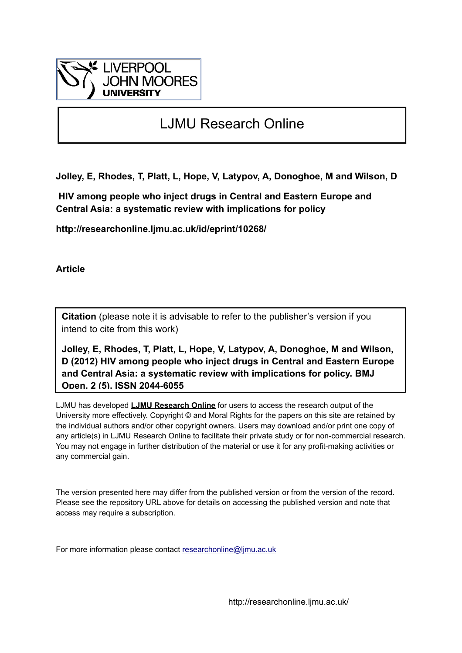

## LJMU Research Online

**Jolley, E, Rhodes, T, Platt, L, Hope, V, Latypov, A, Donoghoe, M and Wilson, D**

 **HIV among people who inject drugs in Central and Eastern Europe and Central Asia: a systematic review with implications for policy**

**http://researchonline.ljmu.ac.uk/id/eprint/10268/**

**Article**

**Citation** (please note it is advisable to refer to the publisher's version if you intend to cite from this work)

**Jolley, E, Rhodes, T, Platt, L, Hope, V, Latypov, A, Donoghoe, M and Wilson, D (2012) HIV among people who inject drugs in Central and Eastern Europe and Central Asia: a systematic review with implications for policy. BMJ Open, 2 (5). ISSN 2044-6055** 

LJMU has developed **[LJMU Research Online](http://researchonline.ljmu.ac.uk/)** for users to access the research output of the University more effectively. Copyright © and Moral Rights for the papers on this site are retained by the individual authors and/or other copyright owners. Users may download and/or print one copy of any article(s) in LJMU Research Online to facilitate their private study or for non-commercial research. You may not engage in further distribution of the material or use it for any profit-making activities or any commercial gain.

The version presented here may differ from the published version or from the version of the record. Please see the repository URL above for details on accessing the published version and note that access may require a subscription.

For more information please contact [researchonline@ljmu.ac.uk](mailto:researchonline@ljmu.ac.uk)

http://researchonline.ljmu.ac.uk/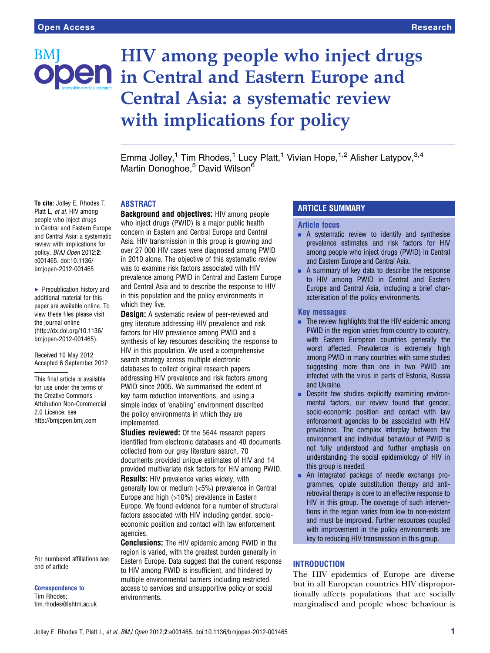BM

# HIV among people who inject drugs **Jen** in Central and Eastern Europe and Central Asia: a systematic review with implications for policy

Emma Jolley,<sup>1</sup> Tim Rhodes,<sup>1</sup> Lucy Platt,<sup>1</sup> Vivian Hope,<sup>1,2</sup> Alisher Latypov,<sup>3,4</sup> Martin Donoghoe.<sup>5</sup> David Wilson<sup>6</sup>

## To cite: Jolley E, Rhodes T, Platt L, et al. HIV among people who inject drugs

in Central and Eastern Europe and Central Asia: a systematic review with implications for policy. BMJ Open 2012;2: e001465. doi:10.1136/ bmjopen-2012-001465

▶ Prepublication history and additional material for this paper are available online. To view these files please visit the journal online [\(http://dx.doi.org/10.1136/](http://dx.doi.org/10.1136/bmjopen-2012-001465) [bmjopen-2012-001465](http://dx.doi.org/10.1136/bmjopen-2012-001465)).

Received 10 May 2012 Accepted 6 September 2012

This final article is available for use under the terms of the Creative Commons Attribution Non-Commercial 2.0 Licence; see <http://bmjopen.bmj.com>

For numbered affiliations see end of article

Correspondence to Tim Rhodes; tim.rhodes@lshtm.ac.uk

## ABSTRACT

Background and objectives: HIV among people who inject drugs (PWID) is a major public health concern in Eastern and Central Europe and Central Asia. HIV transmission in this group is growing and over 27 000 HIV cases were diagnosed among PWID in 2010 alone. The objective of this systematic review was to examine risk factors associated with HIV prevalence among PWID in Central and Eastern Europe and Central Asia and to describe the response to HIV in this population and the policy environments in which they live.

**Design:** A systematic review of peer-reviewed and grey literature addressing HIV prevalence and risk factors for HIV prevalence among PWID and a synthesis of key resources describing the response to HIV in this population. We used a comprehensive search strategy across multiple electronic databases to collect original research papers addressing HIV prevalence and risk factors among PWID since 2005. We summarised the extent of key harm reduction interventions, and using a simple index of 'enabling' environment described the policy environments in which they are implemented.

**Studies reviewed:** Of the 5644 research papers identified from electronic databases and 40 documents collected from our grey literature search, 70 documents provided unique estimates of HIV and 14 provided multivariate risk factors for HIV among PWID. **Results:** HIV prevalence varies widely, with generally low or medium (<5%) prevalence in Central Europe and high (>10%) prevalence in Eastern Europe. We found evidence for a number of structural factors associated with HIV including gender, socioeconomic position and contact with law enforcement agencies.

Conclusions: The HIV epidemic among PWID in the region is varied, with the greatest burden generally in Eastern Europe. Data suggest that the current response to HIV among PWID is insufficient, and hindered by multiple environmental barriers including restricted access to services and unsupportive policy or social environments.

## ARTICLE SUMMARY

#### Article focus

- $\blacksquare$  A systematic review to identify and synthesise prevalence estimates and risk factors for HIV among people who inject drugs (PWID) in Central and Eastern Europe and Central Asia.
- $\blacksquare$  A summary of key data to describe the response to HIV among PWID in Central and Eastern Europe and Central Asia, including a brief characterisation of the policy environments.

#### Key messages

- $\blacksquare$  The review highlights that the HIV epidemic among PWID in the region varies from country to country, with Eastern European countries generally the worst affected. Prevalence is extremely high among PWID in many countries with some studies suggesting more than one in two PWID are infected with the virus in parts of Estonia, Russia and Ukraine.
- **EXECUTE:** Despite few studies explicitly examining environmental factors, our review found that gender, socio-economic position and contact with law enforcement agencies to be associated with HIV prevalence. The complex interplay between the environment and individual behaviour of PWID is not fully understood and further emphasis on understanding the social epidemiology of HIV in this group is needed.
- **EXECUTE:** An integrated package of needle exchange programmes, opiate substitution therapy and antiretroviral therapy is core to an effective response to HIV in this group. The coverage of such interventions in the region varies from low to non-existent and must be improved. Further resources coupled with improvement in the policy environments are key to reducing HIV transmission in this group.

## INTRODUCTION

The HIV epidemics of Europe are diverse but in all European countries HIV disproportionally affects populations that are socially marginalised and people whose behaviour is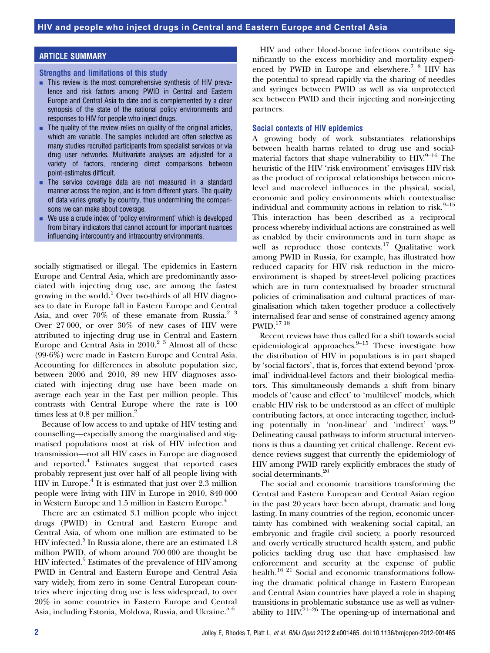## ARTICLE SUMMARY

#### Strengths and limitations of this study

- **EXECUTE:** This review is the most comprehensive synthesis of HIV prevalence and risk factors among PWID in Central and Eastern Europe and Central Asia to date and is complemented by a clear synopsis of the state of the national policy environments and responses to HIV for people who inject drugs.
- $\blacksquare$  The quality of the review relies on quality of the original articles, which are variable. The samples included are often selective as many studies recruited participants from specialist services or via drug user networks. Multivariate analyses are adjusted for a variety of factors, rendering direct comparisons between point-estimates difficult.
- $\blacksquare$  The service coverage data are not measured in a standard manner across the region, and is from different years. The quality of data varies greatly by country, thus undermining the comparisons we can make about coverage.
- We use a crude index of 'policy environment' which is developed from binary indicators that cannot account for important nuances influencing intercountry and intracountry environments.

socially stigmatised or illegal. The epidemics in Eastern Europe and Central Asia, which are predominantly associated with injecting drug use, are among the fastest growing in the world.<sup>1</sup> Over two-thirds of all HIV diagnoses to date in Europe fall in Eastern Europe and Central Asia, and over  $70\%$  of these emanate from Russia.<sup>2 3</sup> Over 27 000, or over 30% of new cases of HIV were attributed to injecting drug use in Central and Eastern Europe and Central Asia in  $2010.<sup>2</sup>$  3 Almost all of these (99·6%) were made in Eastern Europe and Central Asia. Accounting for differences in absolute population size, between 2006 and 2010, 89 new HIV diagnoses associated with injecting drug use have been made on average each year in the East per million people. This contrasts with Central Europe where the rate is 100 times less at  $0.8$  per million.<sup>2</sup>

Because of low access to and uptake of HIV testing and counselling—especially among the marginalised and stigmatised populations most at risk of HIV infection and transmission—not all HIV cases in Europe are diagnosed and reported.4 Estimates suggest that reported cases probably represent just over half of all people living with  $HIV$  in Europe.<sup>4</sup> It is estimated that just over 2.3 million people were living with HIV in Europe in 2010, 840 000 in Western Europe and 1.5 million in Eastern Europe.<sup>4</sup>

There are an estimated 3.1 million people who inject drugs (PWID) in Central and Eastern Europe and Central Asia, of whom one million are estimated to be HIV infected.<sup>5</sup> In Russia alone, there are an estimated 1.8 million PWID, of whom around 700 000 are thought be HIV infected.<sup>5</sup> Estimates of the prevalence of HIV among PWID in Central and Eastern Europe and Central Asia vary widely, from zero in some Central European countries where injecting drug use is less widespread, to over 20% in some countries in Eastern Europe and Central Asia, including Estonia, Moldova, Russia, and Ukraine.<sup>56</sup>

HIV and other blood-borne infections contribute significantly to the excess morbidity and mortality experienced by PWID in Europe and elsewhere.<sup>7</sup> <sup>8</sup> HIV has the potential to spread rapidly via the sharing of needles and syringes between PWID as well as via unprotected sex between PWID and their injecting and non-injecting partners.

### Social contexts of HIV epidemics

A growing body of work substantiates relationships between health harms related to drug use and socialmaterial factors that shape vulnerability to  $HIN^{9-16}$ . The heuristic of the HIV 'risk environment' envisages HIV risk as the product of reciprocal relationships between microlevel and macrolevel influences in the physical, social, economic and policy environments which contextualise individual and community actions in relation to risk. $9-15$ This interaction has been described as a reciprocal process whereby individual actions are constrained as well as enabled by their environments and in turn shape as well as reproduce those contexts.<sup>17</sup> Qualitative work among PWID in Russia, for example, has illustrated how reduced capacity for HIV risk reduction in the microenvironment is shaped by street-level policing practices which are in turn contextualised by broader structural policies of criminalisation and cultural practices of marginalisation which taken together produce a collectively internalised fear and sense of constrained agency among PWID.17 18

Recent reviews have thus called for a shift towards social epidemiological approaches.<sup>9–15</sup> These investigate how the distribution of HIV in populations is in part shaped by 'social factors', that is, forces that extend beyond 'proximal' individual-level factors and their biological mediators. This simultaneously demands a shift from binary models of 'cause and effect' to 'multilevel' models, which enable HIV risk to be understood as an effect of multiple contributing factors, at once interacting together, including potentially in 'non-linear' and 'indirect' ways.19 Delineating causal pathways to inform structural interventions is thus a daunting yet critical challenge. Recent evidence reviews suggest that currently the epidemiology of HIV among PWID rarely explicitly embraces the study of social determinants.<sup>20</sup>

The social and economic transitions transforming the Central and Eastern European and Central Asian region in the past 20 years have been abrupt, dramatic and long lasting. In many countries of the region, economic uncertainty has combined with weakening social capital, an embryonic and fragile civil society, a poorly resourced and overly vertically structured health system, and public policies tackling drug use that have emphasised law enforcement and security at the expense of public health.<sup>16 21</sup> Social and economic transformations following the dramatic political change in Eastern European and Central Asian countries have played a role in shaping transitions in problematic substance use as well as vulnerability to  $HIV<sub>21–26</sub>$  The opening-up of international and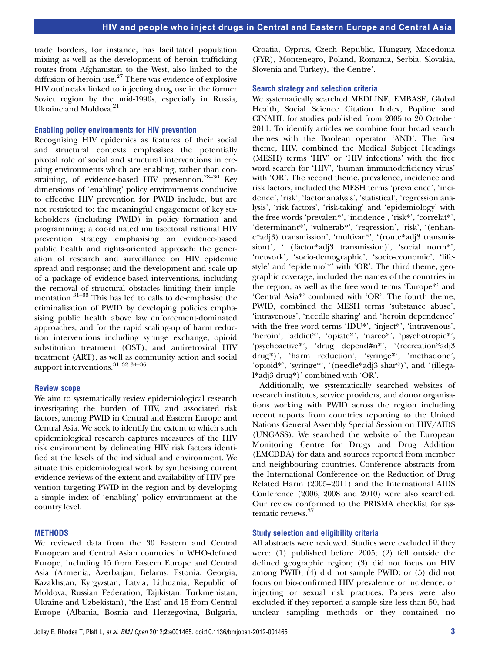trade borders, for instance, has facilitated population mixing as well as the development of heroin trafficking routes from Afghanistan to the West, also linked to the diffusion of heroin use.<sup>27</sup> There was evidence of explosive HIV outbreaks linked to injecting drug use in the former Soviet region by the mid-1990s, especially in Russia, Ukraine and Moldova.<sup>21</sup>

#### Enabling policy environments for HIV prevention

Recognising HIV epidemics as features of their social and structural contexts emphasises the potentially pivotal role of social and structural interventions in creating environments which are enabling, rather than constraining, of evidence-based HIV prevention. $^{28-30}$  Key dimensions of 'enabling' policy environments conducive to effective HIV prevention for PWID include, but are not restricted to: the meaningful engagement of key stakeholders (including PWID) in policy formation and programming; a coordinated multisectoral national HIV prevention strategy emphasising an evidence-based public health and rights-oriented approach; the generation of research and surveillance on HIV epidemic spread and response; and the development and scale-up of a package of evidence-based interventions, including the removal of structural obstacles limiting their implementation.31–<sup>33</sup> This has led to calls to de-emphasise the criminalisation of PWID by developing policies emphasising public health above law enforcement-dominated approaches, and for the rapid scaling-up of harm reduction interventions including syringe exchange, opioid substitution treatment (OST), and antiretroviral HIV treatment (ART), as well as community action and social support interventions.<sup>31</sup> <sup>32</sup> <sup>34-36</sup>

#### Review scope

We aim to systematically review epidemiological research investigating the burden of HIV, and associated risk factors, among PWID in Central and Eastern Europe and Central Asia. We seek to identify the extent to which such epidemiological research captures measures of the HIV risk environment by delineating HIV risk factors identified at the levels of the individual and environment. We situate this epidemiological work by synthesising current evidence reviews of the extent and availability of HIV prevention targeting PWID in the region and by developing a simple index of 'enabling' policy environment at the country level.

#### **METHODS**

We reviewed data from the 30 Eastern and Central European and Central Asian countries in WHO-defined Europe, including 15 from Eastern Europe and Central Asia (Armenia, Azerbaijan, Belarus, Estonia, Georgia, Kazakhstan, Kyrgyzstan, Latvia, Lithuania, Republic of Moldova, Russian Federation, Tajikistan, Turkmenistan, Ukraine and Uzbekistan), 'the East' and 15 from Central Europe (Albania, Bosnia and Herzegovina, Bulgaria,

Croatia, Cyprus, Czech Republic, Hungary, Macedonia (FYR), Montenegro, Poland, Romania, Serbia, Slovakia, Slovenia and Turkey), 'the Centre'.

#### Search strategy and selection criteria

We systematically searched MEDLINE, EMBASE, Global Health, Social Science Citation Index, Popline and CINAHL for studies published from 2005 to 20 October 2011. To identify articles we combine four broad search themes with the Boolean operator 'AND'. The first theme, HIV, combined the Medical Subject Headings (MESH) terms 'HIV' or 'HIV infections' with the free word search for 'HIV', 'human immunodeficiency virus' with 'OR'. The second theme, prevalence, incidence and risk factors, included the MESH terms 'prevalence', 'incidence', 'risk', 'factor analysis', 'statistical', 'regression analysis', 'risk factors', 'risk-taking' and 'epidemiology' with the free words 'prevalen\*', 'incidence', 'risk\*', 'correlat\*', 'determinant\*', 'vulnerab\*', 'regression', 'risk', '(enhanc\*adj3) transmission', 'multivar\*', '(route\*adj3 transmission)', ' (factor\*adj3 transmission)', 'social norm\*', 'network', 'socio-demographic', 'socio-economic', 'lifestyle' and 'epidemiol\*' with 'OR'. The third theme, geographic coverage, included the names of the countries in the region, as well as the free word terms 'Europe\*' and 'Central Asia\*' combined with 'OR'. The fourth theme, PWID, combined the MESH terms 'substance abuse', 'intravenous', 'needle sharing' and 'heroin dependence' with the free word terms 'IDU\*', 'inject\*', 'intravenous', 'heroin', 'addict\*', 'opiate\*', 'narco\*', 'psychotropic\*', 'psychoactive\*', 'drug depend#n\*', '(recreation\*adj3 drug\*)', 'harm reduction', 'syringe\*', 'methadone', 'opioid\*', 'syringe\*', '(needle\*adj3 shar\*)', and '(illegal\*adj3 drug\*)' combined with 'OR'.

Additionally, we systematically searched websites of research institutes, service providers, and donor organisations working with PWID across the region including recent reports from countries reporting to the United Nations General Assembly Special Session on HIV/AIDS (UNGASS). We searched the website of the European Monitoring Centre for Drugs and Drug Addition (EMCDDA) for data and sources reported from member and neighbouring countries. Conference abstracts from the International Conference on the Reduction of Drug Related Harm (2005–2011) and the International AIDS Conference (2006, 2008 and 2010) were also searched. Our review conformed to the PRISMA checklist for systematic reviews.<sup>37</sup>

#### Study selection and eligibility criteria

All abstracts were reviewed. Studies were excluded if they were: (1) published before 2005; (2) fell outside the defined geographic region; (3) did not focus on HIV among PWID; (4) did not sample PWID; or (5) did not focus on bio-confirmed HIV prevalence or incidence, or injecting or sexual risk practices. Papers were also excluded if they reported a sample size less than 50, had unclear sampling methods or they contained no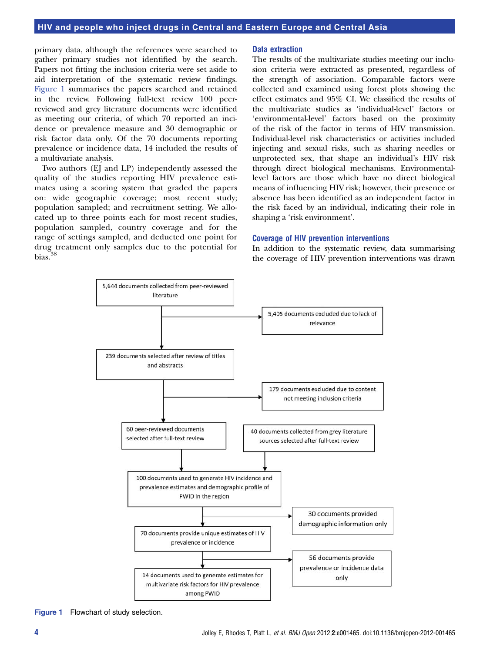primary data, although the references were searched to gather primary studies not identified by the search. Papers not fitting the inclusion criteria were set aside to aid interpretation of the systematic review findings. Figure 1 summarises the papers searched and retained in the review. Following full-text review 100 peerreviewed and grey literature documents were identified as meeting our criteria, of which 70 reported an incidence or prevalence measure and 30 demographic or risk factor data only. Of the 70 documents reporting prevalence or incidence data, 14 included the results of a multivariate analysis.

Two authors (EJ and LP) independently assessed the quality of the studies reporting HIV prevalence estimates using a scoring system that graded the papers on: wide geographic coverage; most recent study; population sampled; and recruitment setting. We allocated up to three points each for most recent studies, population sampled, country coverage and for the range of settings sampled, and deducted one point for drug treatment only samples due to the potential for bias.<sup>38</sup>

#### Data extraction

The results of the multivariate studies meeting our inclusion criteria were extracted as presented, regardless of the strength of association. Comparable factors were collected and examined using forest plots showing the effect estimates and 95% CI. We classified the results of the multivariate studies as 'individual-level' factors or 'environmental-level' factors based on the proximity of the risk of the factor in terms of HIV transmission. Individual-level risk characteristics or activities included injecting and sexual risks, such as sharing needles or unprotected sex, that shape an individual's HIV risk through direct biological mechanisms. Environmentallevel factors are those which have no direct biological means of influencing HIV risk; however, their presence or absence has been identified as an independent factor in the risk faced by an individual, indicating their role in shaping a 'risk environment'.

#### Coverage of HIV prevention interventions

In addition to the systematic review, data summarising the coverage of HIV prevention interventions was drawn



Figure 1 Flowchart of study selection.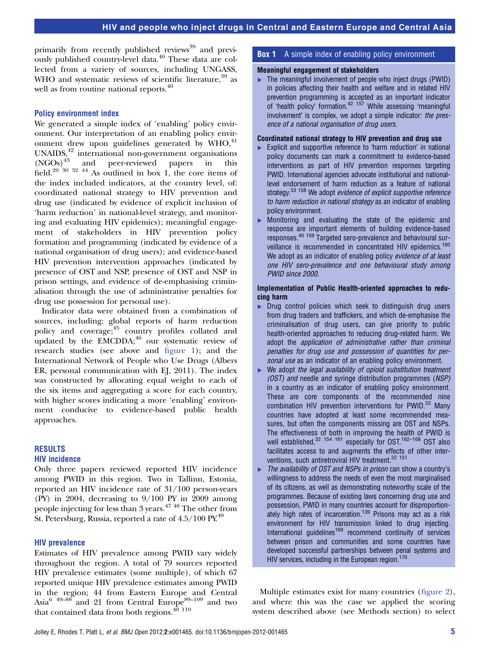primarily from recently published reviews<sup>39</sup> and previously published country-level data.<sup>40</sup> These data are collected from a variety of sources, including UNGASS, WHO and systematic reviews of scientific literature, $39$  as well as from routine national reports.<sup>40</sup>

## Policy environment index

We generated a simple index of 'enabling' policy environment. Our interpretation of an enabling policy environment drew upon guidelines generated by WHO,<sup>41</sup> UNAIDS,<sup>42</sup> international non-government organisations (NGOs)<sup>43</sup> and peer-reviewed papers in this field.<sup>20 30</sup> <sup>32</sup> <sup>44</sup> As outlined in box 1, the core items of the index included indicators, at the country level, of: coordinated national strategy to HIV prevention and drug use (indicated by evidence of explicit inclusion of 'harm reduction' in national-level strategy, and monitoring and evaluating HIV epidemics); meaningful engagement of stakeholders in HIV prevention policy formation and programming (indicated by evidence of a national organisation of drug users); and evidence-based HIV prevention intervention approaches (indicated by presence of OST and NSP, presence of OST and NSP in prison settings, and evidence of de-emphasising criminalisation through the use of administrative penalties for drug use possession for personal use).

Indicator data were obtained from a combination of sources, including: global reports of harm reduction policy and coverage;<sup>45</sup> country profiles collated and updated by the  $EMCDDA$ ;<sup>46</sup> our systematic review of research studies (see above and figure 1); and the International Network of People who Use Drugs (Albers ER, personal communication with EJ, 2011). The index was constructed by allocating equal weight to each of the six items and aggregating a score for each country, with higher scores indicating a more 'enabling' environment conducive to evidence-based public health approaches.

## RESULTS HIV incidence

Only three papers reviewed reported HIV incidence among PWID in this region. Two in Tallinn, Estonia, reported an HIV incidence rate of 31/100 person-years (PY) in 2004, decreasing to 9/100 PY in 2009 among people injecting for less than 3 years.47 48 The other from St. Petersburg, Russia, reported a rate of  $4.5/100 \text{ PX}^{49}$ 

## HIV prevalence

Estimates of HIV prevalence among PWID vary widely throughout the region. A total of 79 sources reported HIV prevalence estimates (some multiple), of which 67 reported unique HIV prevalence estimates among PWID in the region; 44 from Eastern Europe and Central Asia<sup>6 49–88</sup> and 21 from Central Europe<sup>89–109</sup> and two that contained data from both regions. $40$   $110$ 

## **Box 1** A simple index of enabling policy environment

## Meaningful engagement of stakeholders

▸ The meaningful involvement of people who inject drugs (PWID) in policies affecting their health and welfare and in related HIV prevention programming is accepted as an important indicator of 'health policy' formation.<sup>42 157</sup> While assessing 'meaningful involvement' is complex, we adopt a simple indicator: the presence of a national organisation of drug users.

## Coordinated national strategy to HIV prevention and drug use

- Explicit and supportive reference to 'harm reduction' in national policy documents can mark a commitment to evidence-based interventions as part of HIV prevention responses targeting PWID. International agencies advocate institutional and nationallevel endorsement of harm reduction as a feature of national strategy.<sup>33 158</sup> We adopt *evidence of explicit supportive reference* to harm reduction in national strategy as an indicator of enabling policy environment.
- Monitoring and evaluating the state of the epidemic and response are important elements of building evidence-based responses.40 159 Targeted sero-prevalence and behavioural surveillance is recommended in concentrated HIV epidemics.<sup>160</sup> We adopt as an indicator of enabling policy evidence of at least one HIV sero-prevalence and one behavioural study among PWID since 2000.

## Implementation of Public Health-oriented approaches to reducing harm

- ▸ Drug control policies which seek to distinguish drug users from drug traders and traffickers, and which de-emphasise the criminalisation of drug users, can give priority to public health-oriented approaches to reducing drug-related harm. We adopt the application of administrative rather than criminal penalties for drug use and possession of quantities for personal use as an indicator of an enabling policy environment.
- We adopt the legal availability of opioid substitution treatment (OST) and needle and syringe distribution programmes (NSP) in a country as an indicator of enabling policy environment. These are core components of the recommended nine combination HIV prevention interventions for PWID.<sup>33</sup> Many countries have adopted at least some recommended measures, but often the components missing are OST and NSPs. The effectiveness of both in improving the health of PWID is well established,<sup>32 154 161</sup> especially for OST.<sup>162-168</sup> OST also facilitates access to and augments the effects of other interventions, such antiretroviral HIV treatment.<sup>32</sup> <sup>151</sup>
- The availability of OST and NSPs in prison can show a country's willingness to address the needs of even the most marginalised of its citizens, as well as demonstrating noteworthy scale of the programmes. Because of existing laws concerning drug use and possession, PWID in many countries account for disproportionately high rates of incarceration.<sup>139</sup> Prisons may act as a risk environment for HIV transmission linked to drug injecting. International guidelines $169$  recommend continuity of services between prison and communities and some countries have developed successful partnerships between penal systems and HIV services, including in the European region.<sup>170</sup>

Multiple estimates exist for many countries (figure 2), and where this was the case we applied the scoring system described above (see Methods section) to select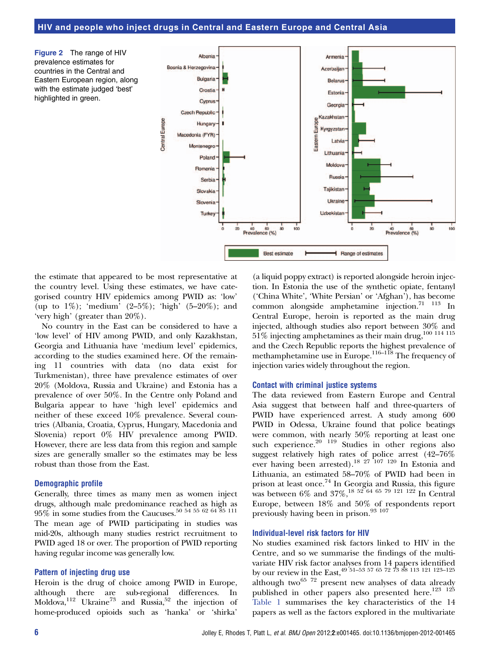Figure 2 The range of HIV prevalence estimates for countries in the Central and Eastern European region, along with the estimate judged 'best' highlighted in green.



the estimate that appeared to be most representative at the country level. Using these estimates, we have categorised country HIV epidemics among PWID as: 'low' (up to 1%); 'medium' (2–5%); 'high' (5–20%); and 'very high' (greater than 20%).

No country in the East can be considered to have a 'low level' of HIV among PWID, and only Kazakhstan, Georgia and Lithuania have 'medium level' epidemics, according to the studies examined here. Of the remaining 11 countries with data (no data exist for Turkmenistan), three have prevalence estimates of over 20% (Moldova, Russia and Ukraine) and Estonia has a prevalence of over 50%. In the Centre only Poland and Bulgaria appear to have 'high level' epidemics and neither of these exceed 10% prevalence. Several countries (Albania, Croatia, Cyprus, Hungary, Macedonia and Slovenia) report 0% HIV prevalence among PWID. However, there are less data from this region and sample sizes are generally smaller so the estimates may be less robust than those from the East.

#### Demographic profile

Generally, three times as many men as women inject drugs, although male predominance reached as high as 95% in some studies from the Caucuses.50 54 55 62 64 85 111 The mean age of PWID participating in studies was mid-20s, although many studies restrict recruitment to PWID aged 18 or over. The proportion of PWID reporting having regular income was generally low.

#### Pattern of injecting drug use

Heroin is the drug of choice among PWID in Europe, although there are sub-regional differences. In Moldova,<sup>112</sup> Ukraine<sup>73</sup> and Russia,<sup>52</sup> the injection of home-produced opioids such as 'hanka' or 'shirka'

(a liquid poppy extract) is reported alongside heroin injection. In Estonia the use of the synthetic opiate, fentanyl ('China White', 'White Persian' or 'Afghan'), has become common alongside amphetamine injection.71 113 In Central Europe, heroin is reported as the main drug injected, although studies also report between 30% and 51% injecting amphetamines as their main drug,100 114 115 and the Czech Republic reports the highest prevalence of methamphetamine use in Europe.116–<sup>118</sup> The frequency of injection varies widely throughout the region.

#### Contact with criminal justice systems

The data reviewed from Eastern Europe and Central Asia suggest that between half and three-quarters of PWID have experienced arrest. A study among 600 PWID in Odessa, Ukraine found that police beatings were common, with nearly 50% reporting at least one such experience.<sup>20</sup> <sup>119</sup> Studies in other regions also suggest relatively high rates of police arrest (42–76% ever having been arrested).<sup>18 27</sup> <sup>107</sup> <sup>120</sup> In Estonia and Lithuania, an estimated 58–70% of PWID had been in prison at least once.<sup>74</sup> In Georgia and Russia, this figure was between  $6\%$  and  $37\%,^{18\,52\,64\,65\,79\,121\,122}$  In Central Europe, between 18% and 50% of respondents report previously having been in prison.<sup>93 107</sup>

#### Individual-level risk factors for HIV

No studies examined risk factors linked to HIV in the Centre, and so we summarise the findings of the multivariate HIV risk factor analyses from 14 papers identified by our review in the East,49 51–53 57 65 72 73 88 113 121 123–<sup>125</sup> although two<sup>65 72</sup> present new analyses of data already published in other papers also presented here.<sup>123</sup> <sup>125</sup> Table 1 summarises the key characteristics of the 14 papers as well as the factors explored in the multivariate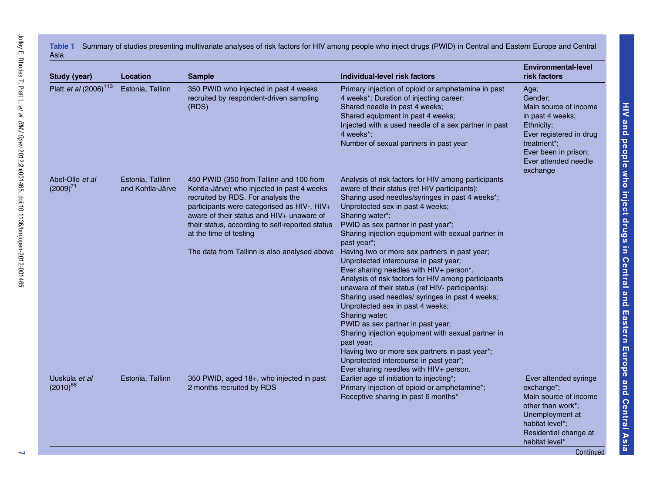| As                              |  |
|---------------------------------|--|
| St<br>Pla                       |  |
|                                 |  |
|                                 |  |
| $\frac{\mathsf{A}}{\mathsf{A}}$ |  |
|                                 |  |
|                                 |  |

Jolley E, Rhodes T, Platt L,

et al. BMJ Open

2012;2

:e001465. doi:10.1136/bmjopen-2012-001465

|      | Table 1 Summary of studies presenting multivariate analyses of risk factors for HIV among people who inject drugs (PWID) in Central and Eastern Europe and Central |
|------|--------------------------------------------------------------------------------------------------------------------------------------------------------------------|
| Asia |                                                                                                                                                                    |

| <b>Study (year)</b>               | Location                             | <b>Sample</b>                                                                                                                                                                                                                                                                                        | Individual-level risk factors                                                                                                                                                                                                                                                                                                                                                                                                                                                                                                                                                                        | <b>Environmental-level</b><br>risk factors                                                                                                                                       |
|-----------------------------------|--------------------------------------|------------------------------------------------------------------------------------------------------------------------------------------------------------------------------------------------------------------------------------------------------------------------------------------------------|------------------------------------------------------------------------------------------------------------------------------------------------------------------------------------------------------------------------------------------------------------------------------------------------------------------------------------------------------------------------------------------------------------------------------------------------------------------------------------------------------------------------------------------------------------------------------------------------------|----------------------------------------------------------------------------------------------------------------------------------------------------------------------------------|
| Platt et al (2006) <sup>113</sup> | Estonia, Tallinn                     | 350 PWID who injected in past 4 weeks<br>recruited by respondent-driven sampling<br>(RDS)                                                                                                                                                                                                            | Primary injection of opioid or amphetamine in past<br>4 weeks*; Duration of injecting career;<br>Shared needle in past 4 weeks;<br>Shared equipment in past 4 weeks;<br>Injected with a used needle of a sex partner in past<br>4 weeks*;<br>Number of sexual partners in past year                                                                                                                                                                                                                                                                                                                  | Age;<br>Gender;<br>Main source of income<br>in past 4 weeks;<br>Ethnicity;<br>Ever registered in drug<br>treatment*;<br>Ever been in prison;<br>Ever attended needle<br>exchange |
| Abel-Ollo et al<br>$(2009)^{71}$  | Estonia, Tallinn<br>and Kohtla-Järve | 450 PWID (350 from Tallinn and 100 from<br>Kohtla-Järve) who injected in past 4 weeks<br>recruited by RDS. For analysis the<br>participants were categorised as HIV-, HIV+<br>aware of their status and HIV+ unaware of<br>their status, according to self-reported status<br>at the time of testing | Analysis of risk factors for HIV among participants<br>aware of their status (ref HIV participants):<br>Sharing used needles/syringes in past 4 weeks*;<br>Unprotected sex in past 4 weeks;<br>Sharing water*;<br>PWID as sex partner in past year*;<br>Sharing injection equipment with sexual partner in<br>past year*;                                                                                                                                                                                                                                                                            |                                                                                                                                                                                  |
|                                   |                                      | The data from Tallinn is also analysed above                                                                                                                                                                                                                                                         | Having two or more sex partners in past year;<br>Unprotected intercourse in past year;<br>Ever sharing needles with HIV+ person*.<br>Analysis of risk factors for HIV among participants<br>unaware of their status (ref HIV- participants):<br>Sharing used needles/ syringes in past 4 weeks;<br>Unprotected sex in past 4 weeks;<br>Sharing water;<br>PWID as sex partner in past year;<br>Sharing injection equipment with sexual partner in<br>past year;<br>Having two or more sex partners in past year*;<br>Unprotected intercourse in past year*;<br>Ever sharing needles with HIV+ person. |                                                                                                                                                                                  |
| Uusküla et al<br>$(2010)^{88}$    | Estonia, Tallinn                     | 350 PWID, aged 18+, who injected in past<br>2 months recruited by RDS                                                                                                                                                                                                                                | Earlier age of initiation to injecting*;<br>Primary injection of opioid or amphetamine*;<br>Receptive sharing in past 6 months*                                                                                                                                                                                                                                                                                                                                                                                                                                                                      | Ever attended syringe<br>exchange*;<br>Main source of income<br>other than work*;<br>Unemployment at<br>habitat level*;<br>Residential change at<br>habitat level*<br>Continued  |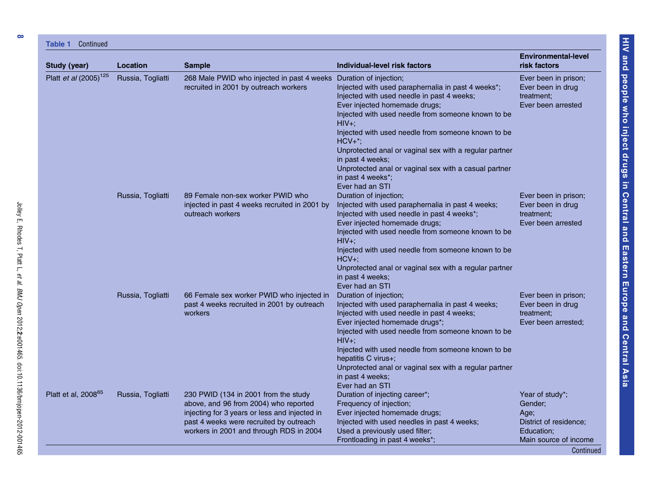| <b>Table</b> |  | Continued |  |  |
|--------------|--|-----------|--|--|
|              |  |           |  |  |

| Study (year)                      | Location          | <b>Sample</b>                                                                                                                                                                                                        | Individual-level risk factors                                                                                                                                                                                                                                                                                                                                                                                                                 | <b>Environmental-level</b><br>risk factors                                                                       |
|-----------------------------------|-------------------|----------------------------------------------------------------------------------------------------------------------------------------------------------------------------------------------------------------------|-----------------------------------------------------------------------------------------------------------------------------------------------------------------------------------------------------------------------------------------------------------------------------------------------------------------------------------------------------------------------------------------------------------------------------------------------|------------------------------------------------------------------------------------------------------------------|
| Platt et al (2005) <sup>125</sup> | Russia, Togliatti | 268 Male PWID who injected in past 4 weeks Duration of injection;<br>recruited in 2001 by outreach workers                                                                                                           | Injected with used paraphernalia in past 4 weeks*;<br>Injected with used needle in past 4 weeks;<br>Ever injected homemade drugs;<br>Injected with used needle from someone known to be<br>$HIV+$<br>Injected with used needle from someone known to be<br>$HCV+$ *:<br>Unprotected anal or vaginal sex with a regular partner<br>in past 4 weeks;<br>Unprotected anal or vaginal sex with a casual partner<br>in past 4 weeks <sup>*</sup> ; | Ever been in prison;<br>Ever been in drug<br>treatment;<br>Ever been arrested                                    |
|                                   | Russia, Togliatti | 89 Female non-sex worker PWID who<br>injected in past 4 weeks recruited in 2001 by<br>outreach workers                                                                                                               | Ever had an STI<br>Duration of injection;<br>Injected with used paraphernalia in past 4 weeks;<br>Injected with used needle in past 4 weeks*;<br>Ever injected homemade drugs;<br>Injected with used needle from someone known to be<br>$HIV+$<br>Injected with used needle from someone known to be<br>$HCV +:$                                                                                                                              | Ever been in prison;<br>Ever been in drug<br>treatment;<br>Ever been arrested                                    |
|                                   | Russia, Togliatti | 66 Female sex worker PWID who injected in<br>past 4 weeks recruited in 2001 by outreach<br>workers                                                                                                                   | Unprotected anal or vaginal sex with a regular partner<br>in past 4 weeks;<br>Ever had an STI<br>Duration of injection;<br>Injected with used paraphernalia in past 4 weeks;<br>Injected with used needle in past 4 weeks;<br>Ever injected homemade drugs*;<br>Injected with used needle from someone known to be<br>$HIV+$<br>Injected with used needle from someone known to be<br>hepatitis C virus+;                                     | Ever been in prison;<br>Ever been in drug<br>treatment;<br>Ever been arrested;                                   |
| Platt et al, 2008 <sup>65</sup>   | Russia, Togliatti | 230 PWID (134 in 2001 from the study<br>above, and 96 from 2004) who reported<br>injecting for 3 years or less and injected in<br>past 4 weeks were recruited by outreach<br>workers in 2001 and through RDS in 2004 | Unprotected anal or vaginal sex with a regular partner<br>in past 4 weeks;<br>Ever had an STI<br>Duration of injecting career*;<br>Frequency of injection;<br>Ever injected homemade drugs;<br>Injected with used needles in past 4 weeks;<br>Used a previously used filter;<br>Frontloading in past 4 weeks*;                                                                                                                                | Year of study*;<br>Gender;<br>Age;<br>District of residence;<br>Education:<br>Main source of income<br>Continued |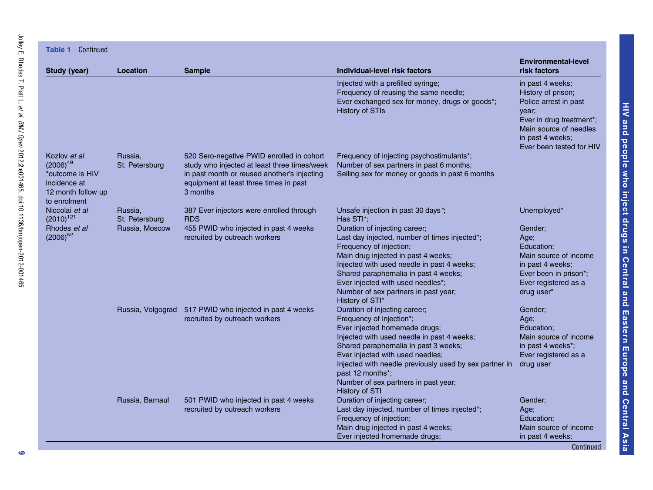| i                                      |
|----------------------------------------|
| -<br>-<br>-<br>-                       |
| ı                                      |
|                                        |
|                                        |
| <b>SALES AND THE SECTION CONTRACT:</b> |
| ミー・ミー くく・・<br>å                        |

| Study (year)                                                                                                  | Location                  | <b>Sample</b>                                                                                                                                                                                  | Individual-level risk factors                                                                                                                                                                                                                                                                                                                                 | <b>Environmental-level</b><br>risk factors                                                                                                                                     |
|---------------------------------------------------------------------------------------------------------------|---------------------------|------------------------------------------------------------------------------------------------------------------------------------------------------------------------------------------------|---------------------------------------------------------------------------------------------------------------------------------------------------------------------------------------------------------------------------------------------------------------------------------------------------------------------------------------------------------------|--------------------------------------------------------------------------------------------------------------------------------------------------------------------------------|
|                                                                                                               |                           |                                                                                                                                                                                                | Injected with a prefilled syringe;<br>Frequency of reusing the same needle;<br>Ever exchanged sex for money, drugs or goods*;<br><b>History of STIs</b>                                                                                                                                                                                                       | in past 4 weeks;<br>History of prison;<br>Police arrest in past<br>year;<br>Ever in drug treatment*;<br>Main source of needles<br>in past 4 weeks;<br>Ever been tested for HIV |
| Kozlov <i>et al</i><br>$(2006)^{49}$<br>*outcome is HIV<br>incidence at<br>12 month follow up<br>to enrolment | Russia,<br>St. Petersburg | 520 Sero-negative PWID enrolled in cohort<br>study who injected at least three times/week<br>in past month or reused another's injecting<br>equipment at least three times in past<br>3 months | Frequency of injecting psychostimulants*;<br>Number of sex partners in past 6 months;<br>Selling sex for money or goods in past 6 months                                                                                                                                                                                                                      |                                                                                                                                                                                |
| Niccolai et al                                                                                                | Russia,<br>St. Petersburg | 387 Ever injectors were enrolled through<br><b>RDS</b>                                                                                                                                         | Unsafe injection in past 30 days *;<br>Has STI*;                                                                                                                                                                                                                                                                                                              | Unemployed*                                                                                                                                                                    |
| $(2010)^{121}$<br>Rhodes et al<br>$(2006)^{52}$                                                               | Russia, Moscow            | 455 PWID who injected in past 4 weeks<br>recruited by outreach workers                                                                                                                         | Duration of injecting career;<br>Last day injected, number of times injected*;<br>Frequency of injection;<br>Main drug injected in past 4 weeks;<br>Injected with used needle in past 4 weeks;<br>Shared paraphernalia in past 4 weeks;<br>Ever injected with used needles*;<br>Number of sex partners in past year;<br>History of STI*                       | Gender;<br>Age;<br>Education:<br>Main source of income<br>in past 4 weeks;<br>Ever been in prison*;<br>Ever registered as a<br>drug user*                                      |
|                                                                                                               | Russia, Volgograd         | 517 PWID who injected in past 4 weeks<br>recruited by outreach workers                                                                                                                         | Duration of injecting career;<br>Frequency of injection*;<br>Ever injected homemade drugs;<br>Injected with used needle in past 4 weeks;<br>Shared paraphernalia in past 3 weeks;<br>Ever injected with used needles;<br>Injected with needle previously used by sex partner in<br>past 12 months*;<br>Number of sex partners in past year;<br>History of STI | Gender;<br>Age;<br>Education;<br>Main source of income<br>in past 4 weeks*;<br>Ever registered as a<br>drug user                                                               |
|                                                                                                               | Russia, Barnaul           | 501 PWID who injected in past 4 weeks<br>recruited by outreach workers                                                                                                                         | Duration of injecting career;<br>Last day injected, number of times injected*;<br>Frequency of injection;<br>Main drug injected in past 4 weeks;<br>Ever injected homemade drugs;                                                                                                                                                                             | Gender:<br>Age;<br>Education:<br>Main source of income<br>in past 4 weeks;<br>Continued                                                                                        |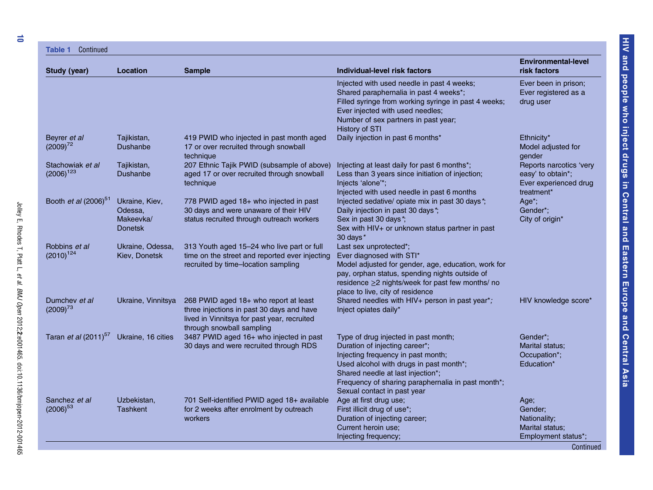Jolley E, Rhodes T, Platt L,

et al.

BMJ Open

2012;2:e001465. doi:10.1136/bmjopen-2012-001465

Table 1 Continued

| Study (year)                            | Location                                                 | <b>Sample</b>                                                                                                                                                  | Individual-level risk factors                                                                                                                                                                                                                                                     | <b>Environmental-level</b><br>risk factors                                            |
|-----------------------------------------|----------------------------------------------------------|----------------------------------------------------------------------------------------------------------------------------------------------------------------|-----------------------------------------------------------------------------------------------------------------------------------------------------------------------------------------------------------------------------------------------------------------------------------|---------------------------------------------------------------------------------------|
|                                         |                                                          |                                                                                                                                                                | Injected with used needle in past 4 weeks;<br>Shared paraphernalia in past 4 weeks*;<br>Filled syringe from working syringe in past 4 weeks;<br>Ever injected with used needles;<br>Number of sex partners in past year;<br>History of STI                                        | Ever been in prison;<br>Ever registered as a<br>drug user                             |
| Beyrer et al<br>$(2009)^{72}$           | Tajikistan,<br><b>Dushanbe</b>                           | 419 PWID who injected in past month aged<br>17 or over recruited through snowball<br>technique                                                                 | Daily injection in past 6 months*                                                                                                                                                                                                                                                 | Ethnicity*<br>Model adjusted for<br>gender                                            |
| Stachowiak et al<br>$(2006)^{123}$      | Tajikistan,<br>Dushanbe                                  | 207 Ethnic Tajik PWID (subsample of above)<br>aged 17 or over recruited through snowball<br>technique                                                          | Injecting at least daily for past 6 months*;<br>Less than 3 years since initiation of injection;<br>Injects 'alone'*;<br>Injected with used needle in past 6 months                                                                                                               | Reports narcotics 'very<br>easy' to obtain*;<br>Ever experienced drug<br>treatment*   |
| Booth <i>et al</i> (2006) <sup>51</sup> | Ukraine, Kiev,<br>Odessa,<br>Makeevka/<br><b>Donetsk</b> | 778 PWID aged 18+ who injected in past<br>30 days and were unaware of their HIV<br>status recruited through outreach workers                                   | Injected sedative/ opiate mix in past 30 days*;<br>Daily injection in past 30 days *;<br>Sex in past 30 days*;<br>Sex with HIV+ or unknown status partner in past<br>30 days*                                                                                                     | Age*;<br>Gender*;<br>City of origin*                                                  |
| Robbins et al<br>$(2010)^{124}$         | Ukraine, Odessa,<br>Kiev, Donetsk                        | 313 Youth aged 15-24 who live part or full<br>time on the street and reported ever injecting<br>recruited by time-location sampling                            | Last sex unprotected*;<br>Ever diagnosed with STI*<br>Model adjusted for gender, age, education, work for<br>pay, orphan status, spending nights outside of<br>residence ≥2 nights/week for past few months/ no<br>place to live, city of residence                               |                                                                                       |
| Dumchey et al<br>$(2009)^{73}$          | Ukraine, Vinnitsya                                       | 268 PWID aged 18+ who report at least<br>three injections in past 30 days and have<br>lived in Vinnitsya for past year, recruited<br>through snowball sampling | Shared needles with HIV+ person in past year*;<br>Inject opiates daily*                                                                                                                                                                                                           | HIV knowledge score*                                                                  |
| Taran et al (2011) <sup>57</sup>        | Ukraine, 16 cities                                       | 3487 PWID aged 16+ who injected in past<br>30 days and were recruited through RDS                                                                              | Type of drug injected in past month;<br>Duration of injecting career*;<br>Injecting frequency in past month;<br>Used alcohol with drugs in past month*;<br>Shared needle at last injection*;<br>Frequency of sharing paraphernalia in past month*;<br>Sexual contact in past year | Gender*;<br>Marital status;<br>Occupation*;<br>Education*                             |
| Sanchez et al<br>$(2006)^{53}$          | Uzbekistan,<br><b>Tashkent</b>                           | 701 Self-identified PWID aged 18+ available<br>for 2 weeks after enrolment by outreach<br>workers                                                              | Age at first drug use;<br>First illicit drug of use*;<br>Duration of injecting career;<br>Current heroin use;<br>Injecting frequency;                                                                                                                                             | Age;<br>Gender;<br>Nationality;<br>Marital status;<br>Employment status*;<br>Continue |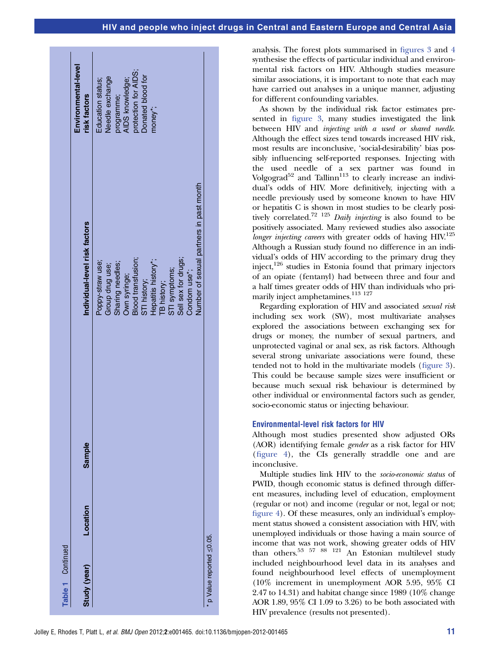analysis. The forest plots summarised in figures 3 and 4 synthesise the effects of particular individual and environmental risk factors on HIV. Although studies measure similar associations, it is important to note that each may have carried out analyses in a unique manner, adjusting for different confounding variables.

As shown by the individual risk factor estimates presented in figure 3, many studies investigated the link between HIV and injecting with a used or shared needle. Although the effect sizes tend towards increased HIV risk, most results are inconclusive, 'social-desirability' bias possibly influencing self-reported responses. Injecting with the used needle of a sex partner was found in Volgograd<sup>52</sup> and Tallinn<sup>113</sup> to clearly increase an individual's odds of HIV. More definitively, injecting with a needle previously used by someone known to have HIV or hepatitis C is shown in most studies to be clearly positively correlated.<sup>72 125</sup> Daily injecting is also found to be positively associated. Many reviewed studies also associate longer injecting careers with greater odds of having  $HIV^{125}$ Although a Russian study found no difference in an individual's odds of HIV according to the primary drug they inject, $126$  studies in Estonia found that primary injectors of an opiate (fentanyl) had between three and four and a half times greater odds of HIV than individuals who primarily inject amphetamines.  $^{113\ 127}$ 

Regarding exploration of HIV and associated sexual risk including sex work (SW), most multivariate analyses explored the associations between exchanging sex for drugs or money, the number of sexual partners, and unprotected vaginal or anal sex, as risk factors. Although several strong univariate associations were found, these tended not to hold in the multivariate models (figure 3). This could be because sample sizes were insufficient or because much sexual risk behaviour is determined by other individual or environmental factors such as gender, socio-economic status or injecting behaviour.

## Environmental-level risk factors for HIV

Although most studies presented show adjusted ORs (AOR) identifying female gender as a risk factor for HIV (figure 4), the CIs generally straddle one and are inconclusive.

Multiple studies link HIV to the socio-economic status of PWID, though economic status is defined through different measures, including level of education, employment (regular or not) and income (regular or not, legal or not; figure 4). Of these measures, only an individual's employment status showed a consistent association with HIV, with unemployed individuals or those having a main source of income that was not work, showing greater odds of HIV than others.  $53 \times 57 \times 88 \times 121$  An Estonian multilevel study included neighbourhood level data in its analyses and found neighbourhood level effects of unemployment (10% increment in unemployment AOR 5.95, 95% CI 2.47 to 14.31) and habitat change since 1989 (10% change AOR 1.89, 95% CI 1.09 to 3.26) to be both associated with HIV prevalence (results not presented).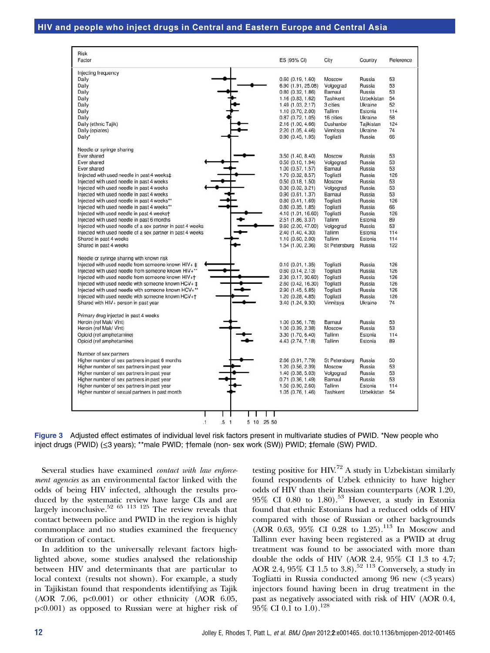| <b>Risk</b><br>Factor                                                                                      | ES (95% CI)           | City                   | Country          | Reference |
|------------------------------------------------------------------------------------------------------------|-----------------------|------------------------|------------------|-----------|
| Injecting frequency                                                                                        |                       |                        |                  |           |
| Daily                                                                                                      | $0.60$ $(0.19, 1.60)$ | Moscow                 | Russia           | 53        |
| Daily                                                                                                      | 6.90 (1.91, 25.08)    | Volgograd              | Russia           | 53        |
| Daily                                                                                                      | 0.80(0.32, 1.86)      | Barnaul                | Russia           | 53        |
| Daily                                                                                                      | 1.16 (0.83, 1.62)     | Tashkent               | Uzbekistan       | 54        |
| Daily                                                                                                      | 1.49 (1.03, 2.17)     | 3 cities               | Ukraine          | 52        |
| Daily                                                                                                      | 1.10 (0.70, 2.00)     | Tallinn                | Estonia          | 114       |
| Daily                                                                                                      | 0.87(0.72, 1.05)      | 16 cities              | Ukraine          | 58        |
| Daily (ethnic Tajik)                                                                                       | 2.16 (1.00, 4.66)     | Dushanbe               | Tajikistan       | 124       |
| Daily (opiates)                                                                                            | 2.20 (1.05, 4.46)     | Vinnitsya              | Ukraine          | 74        |
| Daily*                                                                                                     | 0.90(0.45, 1.95)      | Togliatti              | Russia           | 66        |
| Needle or syringe sharing                                                                                  |                       |                        |                  |           |
| Ever shared                                                                                                | 3.50 (1.40, 8.40)     | Moscow                 | Russia           | 53        |
| Ever shared                                                                                                | 0.50(0.10, 1.94)      | Volgograd              | Russia           | 53        |
| Ever shared                                                                                                | 1.00(0.57, 1.57)      | Barnaul                | Russia           | 53        |
| linjected with used needle in past 4 weeks‡                                                                | 1.70 (0.32, 8.57)     | Togliatti              | Russia           | 126       |
| Injected with used needle in past 4 weeks                                                                  | 0.50(0.18, 1.50)      | Moscow                 | Russia           | 53        |
| Injected with used needle in past 4 weeks                                                                  | 0.30(0.02, 3.21)      | Volgograd              | Russia           | 53        |
| Injected with used needle in past 4 weeks                                                                  | 0.90(0.61, 1.37)      | Barnaul                | Russia           | 53        |
| Injected with used needle in past 4 weeks**                                                                | 0.80(0.41, 1.69)      | Togliatti              | Russia           | 126       |
| Injected with used needle in past 4 weeks**                                                                | 0.80(0.35, 1.85)      | Togliatti              | Russia           | 66        |
| Injected with used needle in past 4 weekst                                                                 | 4.10 (1.01, 16.60)    | Togliatti              | Russia           | 126       |
| Injected with used needle in past 6 months                                                                 | 2.51 (1.86, 3.37)     | Tallinn                | Estonia          | 89        |
| Injected with used needle of a sex partner in past 4 weeks                                                 | 9.60 (2.00, 47.00)    | Volgograd              | Russia           | 53        |
| Injected with used needle of a sex partner in past 4 weeks                                                 | 2.40 (1.40, 4.30)     | Tallinn                | Estonia          | 114       |
| Shared in past 4 weeks                                                                                     | 1.10 (0.60, 2.00)     | Tallinn                | Estonia          | 114       |
| Shared in past 4 weeks                                                                                     | 1.54 (1.00, 2.36)     | St Petersburg          | Russia           | 122       |
| Needle or syringe sharing with known risk                                                                  |                       | Togliatti              |                  | 126       |
| Injected with used needle from someone known HIV+ ±                                                        | 0.10(0.01, 1.35)      |                        | Russia           | 126       |
| Injected with used needle from someone known HIV+**                                                        | 0.60(0.14, 2.13)      | Togliatti              | Russia           | 126       |
| Injected with used needle from someone known HIV++                                                         | 2.30 (0.17, 30.60)    | Togliatti              | Russia           | 126       |
| Injected with used needle with someone known HCV+ ±<br>Injected with used needle with someone known HCV+** | 2.60 (0.42, 16.30)    | Togliatti<br>Togliatti | Russia<br>Russia | 126       |
| Injected with used needle with someone known HCV++                                                         | 2.90 (1.45, 5.85)     |                        | Russia           | 126       |
| Shared with HIV+ person in past year                                                                       | 1.20 (0.28, 4.85)     | Togliatti<br>Vinnitsya | Ukraine          | 74        |
|                                                                                                            | 3.40 (1.24, 9.30)     |                        |                  |           |
| Primary drug injected in past 4 weeks<br>Heroin (ref Mak/ Vint)                                            | 1.00 (0.56, 1.78)     | Barnaul                | Russia           | 53        |
| Heroin (ref Mak/ Vint)                                                                                     | 1.00 (0.39, 2.38)     | Moscow                 | Russia           | 53        |
| Opioid (ref amphetamine)                                                                                   | 3.30 (1.70, 6.40)     | Tallinn                | Estonia          | 114       |
| Opioid (ref amphetamine)                                                                                   | 4.43 (2.74, 7.18)     | Tallinn                | Estonia          | 89        |
| Number of sex partners                                                                                     |                       |                        |                  |           |
| Higher number of sex partners in past 6 months                                                             | 2.66 (0.91, 7.79)     | St Petersburg          | Russia           | 50        |
| Higher number of sex partners in past year                                                                 | 1.20 (0.56, 2.39)     | Moscow                 | Russia           | 53        |
| Higher number of sex partners in past year                                                                 | 1.40 (0.38, 5.03)     | Volgograd              | Russia           | 53        |
| Higher number of sex partners in past year                                                                 | $0.71$ $(0.36, 1.49)$ | Barnaul                | Russia           | 53        |
| Higher number of sex partners in past year                                                                 | 1.50 (0.90, 2.60)     | Tallinn                | Estonia          | 114       |
| Higher number of sexual partners in past month                                                             | 1.05 (0.76, 1.46)     | Tashkent               | Uzbekistan       | 54        |
|                                                                                                            |                       |                        |                  |           |
|                                                                                                            |                       |                        |                  |           |
| .5 <sub>1</sub><br>5 10 25 50<br>$\cdot$ 1                                                                 |                       |                        |                  |           |

Figure 3 Adjusted effect estimates of individual level risk factors present in multivariate studies of PWID. \*New people who inject drugs (PWID) (≤3 years); \*\*male PWID; †female (non- sex work (SW)) PWID; ‡female (SW) PWID.

Several studies have examined *contact with law enforce*ment agencies as an environmental factor linked with the odds of being HIV infected, although the results produced by the systematic review have large CIs and are largely inconclusive.<sup>52 65 113 125</sup> The review reveals that contact between police and PWID in the region is highly commonplace and no studies examined the frequency or duration of contact.

In addition to the universally relevant factors highlighted above, some studies analysed the relationship between HIV and determinants that are particular to local context (results not shown). For example, a study in Tajikistan found that respondents identifying as Tajik  $(AOR 7.06, p<0.001)$  or other ethnicity  $(AOR 6.05,$ p<0.001) as opposed to Russian were at higher risk of

testing positive for  $HIV^{72}$  A study in Uzbekistan similarly found respondents of Uzbek ethnicity to have higher odds of HIV than their Russian counterparts (AOR 1.20,  $95\%$  CI 0.80 to 1.80).<sup>53</sup> However, a study in Estonia found that ethnic Estonians had a reduced odds of HIV compared with those of Russian or other backgrounds (AOR 0.63, 95% CI 0.28 to 1.25).<sup>113</sup> In Moscow and Tallinn ever having been registered as a PWID at drug treatment was found to be associated with more than double the odds of HIV (AOR 2.4, 95% CI 1.3 to 4.7; AOR 2.4, 95% CI 1.5 to 3.8).<sup>52 113</sup> Conversely, a study in Togliatti in Russia conducted among 96 new (<3 years) injectors found having been in drug treatment in the past as negatively associated with risk of HIV (AOR 0.4, 95\% CI 0.1 to 1.0).<sup>128</sup>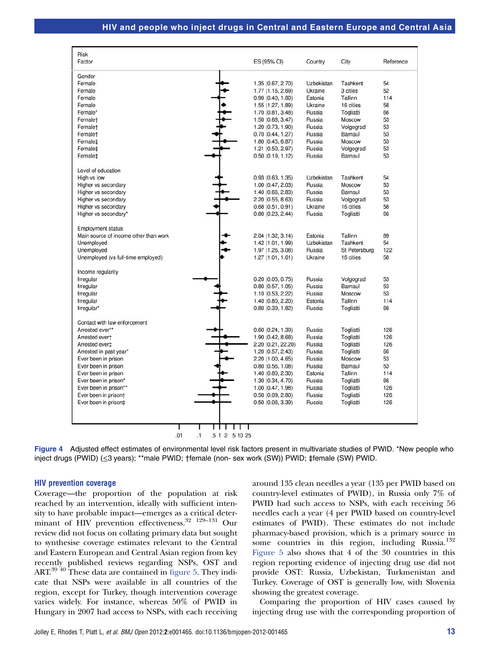| Risk                                  |                    |            |               |           |
|---------------------------------------|--------------------|------------|---------------|-----------|
| Factor                                | ES (95% CI)        | Country    | City          | Reference |
| Gender                                |                    |            |               |           |
| Female                                | 1.35 (0.67, 2.70)  | Uzbekistan | Tashkent      | 54        |
| Female                                | 1.77(1.16, 2.69)   | Ukraine    | 3 cities      | 52        |
| Female                                | 0.90(0.40, 1.80)   | Estonia    | Tallinn       | 114       |
| Female                                | 1.55 (1.27, 1.89)  | Ukraine    | 16 cities     | 58        |
| Female*                               | 1.70 (0.81, 3.48)  | Russia     | Togliatti     | 66        |
| Femalet                               | 1.50 (0.68, 3.47)  | Russia     | Moscow        | 53        |
| Female <sup>+</sup>                   | 1.20 (0.73, 1.90)  | Russia     | Volgograd     | 53        |
| Female <sup>+</sup>                   | 0.70(0.44, 1.27)   | Russia     | Barnaul       | 53        |
| Female <sup>±</sup>                   | 1.80 (0.45, 6.87)  | Russia     | Moscow        | 53        |
| Female <sup>±</sup>                   | 1.21 (0.50, 2.97)  | Russia     | Volgograd     | 53        |
| Female <sup>±</sup>                   | 0.50(0.19, 1.12)   | Russia     | Barnaul       | 53        |
| Level of education                    |                    |            |               |           |
| High vs low                           | 0.93(0.63, 1.35)   | Uzbekistan | Tashkent      | 54        |
| Higher vs secondary                   | 1.00 (0.47, 2.03)  | Russia     | Moscow        | 53        |
| Higher vs secondary                   | 1.40 (0.66, 2.83)  | Russia     | Barnaul       | 53        |
| Higher vs secondary                   | 2.20 (0.55, 8.63)  | Russia     | Volgograd     | 53        |
| Higher vs secondary                   | 0.68(0.51, 0.91)   | Ukraine    | 16 cities     | 58        |
| Higher vs secondary*                  | 0.80(0.23, 2.44)   | Russia     | Togliatti     | 66        |
| <b>Employment status</b>              |                    |            |               |           |
| Main source of income other than work | 2.04 (1.32, 3.14)  | Estonia    | Tallinn       | 89        |
| Unemployed                            | 1.42 (1.01, 1.99)  | Uzbekistan | Tashkent      | 54        |
| Unemployed                            | 1.97 (1.26, 3.08)  | Russia     | St Petersburg | 122       |
| Unemployed (vs full-time employed)    | 1.27(1.01, 1.61)   | Ukraine    | 16 cities     | 58        |
| Income regularity                     |                    |            |               |           |
| Irregular                             | 0.20(0.05, 0.75)   | Russia     | Volgograd     | 53        |
| Irregular                             | 0.80(0.57, 1.05)   | Russia     | Barnaul       | 53        |
| Irregular                             | 1.10 (0.53, 2.22)  | Russia     | Moscow        | 53        |
| Irregular                             | 1.40 (0.80, 2.20)  | Estonia    | Tallinn       | 114       |
| Irregular*                            | 0.80(0.39, 1.82)   | Russia     | Togliatti     | 66        |
| Contact with law enforcement          |                    |            |               |           |
| Arrested ever**                       | 0.60(0.24, 1.39)   | Russia     | Togliatti     | 126       |
| Arrested evert                        | 1.90 (0.42, 8.68)  | Russia     | Togliatti     | 126       |
| Arrested ever <sup>+</sup>            | 2.20 (0.21, 22.20) | Russia     | Togliatti     | 126       |
| Arrested in past year*                | 1.20 (0.57, 2.43)  | Russia     | Togliatti     | 66        |
| Ever been in prison                   | 2.20 (1.00, 4.65)  | Russia     | Moscow        | 53        |
| Ever been in prison                   | 0.80(0.56, 1.08)   | Russia     | Barnaul       | 53        |
| Ever been in prison                   | 1.40 (0.80, 2.30)  | Estonia    | Tallinn       | 114       |
| Ever been in prison*                  | 1.30 (0.34, 4.70)  | Russia     | Togliatti     | 66        |
| Ever been in prison**                 | 1.00(0.47, 1.98)   | Russia     | Togliatti     | 126       |
| Ever been in prison†                  | 0.50(0.09, 2.80)   | Russia     | Togliatti     | 126       |
| Ever been in prison‡                  | 0.50(0.06, 3.39)   | Russia     | Togliatti     | 126       |
|                                       |                    |            |               |           |
| .01<br>.5 1 2 5 10 25<br>$\cdot$ 1    |                    |            |               |           |

Figure 4 Adjusted effect estimates of environmental level risk factors present in multivariate studies of PWID. \*New people who inject drugs (PWID) (≤3 years); \*\*male PWID; †female (non- sex work (SW)) PWID; ‡female (SW) PWID.

#### HIV prevention coverage

Coverage—the proportion of the population at risk reached by an intervention, ideally with sufficient intensity to have probable impact—emerges as a critical determinant of HIV prevention effectiveness.<sup>32 129-131</sup> Our review did not focus on collating primary data but sought to synthesise coverage estimates relevant to the Central and Eastern European and Central Asian region from key recently published reviews regarding NSPs, OST and ART.39 40 These data are contained in figure 5. They indicate that NSPs were available in all countries of the region, except for Turkey, though intervention coverage varies widely. For instance, whereas 50% of PWID in Hungary in 2007 had access to NSPs, with each receiving around 135 clean needles a year (135 per PWID based on country-level estimates of PWID), in Russia only 7% of PWID had such access to NSPs, with each receiving 56 needles each a year (4 per PWID based on country-level estimates of PWID). These estimates do not include pharmacy-based provision, which is a primary source in some countries in this region, including Russia.<sup>132</sup> Figure 5 also shows that 4 of the 30 countries in this region reporting evidence of injecting drug use did not provide OST: Russia, Uzbekistan, Turkmenistan and Turkey. Coverage of OST is generally low, with Slovenia showing the greatest coverage.

Comparing the proportion of HIV cases caused by injecting drug use with the corresponding proportion of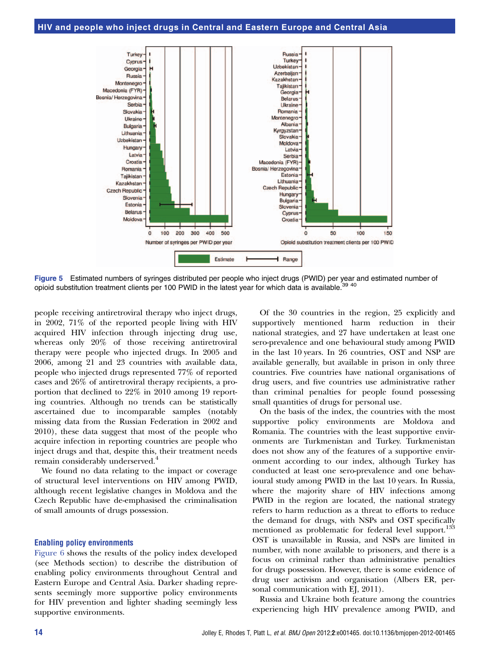

Figure 5 Estimated numbers of syringes distributed per people who inject drugs (PWID) per year and estimated number of opioid substitution treatment clients per 100 PWID in the latest year for which data is available.<sup>39 40</sup>

people receiving antiretroviral therapy who inject drugs, in 2002, 71% of the reported people living with HIV acquired HIV infection through injecting drug use, whereas only 20% of those receiving antiretroviral therapy were people who injected drugs. In 2005 and 2006, among 21 and 23 countries with available data, people who injected drugs represented 77% of reported cases and 26% of antiretroviral therapy recipients, a proportion that declined to 22% in 2010 among 19 reporting countries. Although no trends can be statistically ascertained due to incomparable samples (notably missing data from the Russian Federation in 2002 and 2010), these data suggest that most of the people who acquire infection in reporting countries are people who inject drugs and that, despite this, their treatment needs remain considerably underserved.<sup>4</sup>

We found no data relating to the impact or coverage of structural level interventions on HIV among PWID, although recent legislative changes in Moldova and the Czech Republic have de-emphasised the criminalisation of small amounts of drugs possession.

#### Enabling policy environments

Figure 6 shows the results of the policy index developed (see Methods section) to describe the distribution of enabling policy environments throughout Central and Eastern Europe and Central Asia. Darker shading represents seemingly more supportive policy environments for HIV prevention and lighter shading seemingly less supportive environments.

Of the 30 countries in the region, 25 explicitly and supportively mentioned harm reduction in their national strategies, and 27 have undertaken at least one sero-prevalence and one behavioural study among PWID in the last 10 years. In 26 countries, OST and NSP are available generally, but available in prison in only three countries. Five countries have national organisations of drug users, and five countries use administrative rather than criminal penalties for people found possessing small quantities of drugs for personal use.

On the basis of the index, the countries with the most supportive policy environments are Moldova and Romania. The countries with the least supportive environments are Turkmenistan and Turkey. Turkmenistan does not show any of the features of a supportive environment according to our index, although Turkey has conducted at least one sero-prevalence and one behavioural study among PWID in the last 10 years. In Russia, where the majority share of HIV infections among PWID in the region are located, the national strategy refers to harm reduction as a threat to efforts to reduce the demand for drugs, with NSPs and OST specifically mentioned as problematic for federal level support.<sup>133</sup> OST is unavailable in Russia, and NSPs are limited in number, with none available to prisoners, and there is a focus on criminal rather than administrative penalties for drugs possession. However, there is some evidence of drug user activism and organisation (Albers ER, personal communication with EJ, 2011).

Russia and Ukraine both feature among the countries experiencing high HIV prevalence among PWID, and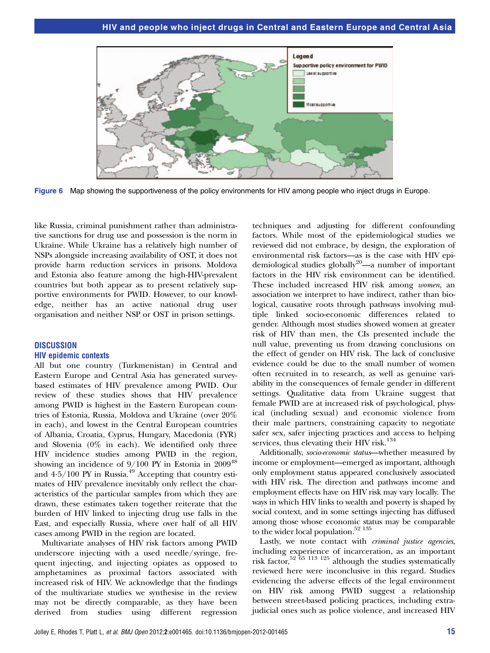

Figure 6 Map showing the supportiveness of the policy environments for HIV among people who inject drugs in Europe.

like Russia, criminal punishment rather than administrative sanctions for drug use and possession is the norm in Ukraine. While Ukraine has a relatively high number of NSPs alongside increasing availability of OST, it does not provide harm reduction services in prisons. Moldova and Estonia also feature among the high-HIV-prevalent countries but both appear as to present relatively supportive environments for PWID. However, to our knowledge, neither has an active national drug user organisation and neither NSP or OST in prison settings.

### **DISCUSSION** HIV epidemic contexts

All but one country (Turkmenistan) in Central and Eastern Europe and Central Asia has generated surveybased estimates of HIV prevalence among PWID. Our review of these studies shows that HIV prevalence among PWID is highest in the Eastern European countries of Estonia, Russia, Moldova and Ukraine (over 20% in each), and lowest in the Central European countries of Albania, Croatia, Cyprus, Hungary, Macedonia (FYR) and Slovenia (0% in each). We identified only three HIV incidence studies among PWID in the region, showing an incidence of  $9/100$  PY in Estonia in  $2009^{48}$ and  $4.5/100$  PY in Russia.<sup>49</sup> Accepting that country estimates of HIV prevalence inevitably only reflect the characteristics of the particular samples from which they are drawn, these estimates taken together reiterate that the burden of HIV linked to injecting drug use falls in the East, and especially Russia, where over half of all HIV cases among PWID in the region are located.

Multivariate analyses of HIV risk factors among PWID underscore injecting with a used needle/syringe, frequent injecting, and injecting opiates as opposed to amphetamines as proximal factors associated with increased risk of HIV. We acknowledge that the findings of the multivariate studies we synthesise in the review may not be directly comparable, as they have been derived from studies using different regression

techniques and adjusting for different confounding factors. While most of the epidemiological studies we reviewed did not embrace, by design, the exploration of environmental risk factors—as is the case with HIV epidemiological studies globally<sup>20</sup>—a number of important factors in the HIV risk environment can be identified. These included increased HIV risk among women, an association we interpret to have indirect, rather than biological, causative roots through pathways involving multiple linked socio-economic differences related to gender. Although most studies showed women at greater risk of HIV than men, the CIs presented include the null value, preventing us from drawing conclusions on the effect of gender on HIV risk. The lack of conclusive evidence could be due to the small number of women often recruited in to research, as well as genuine variability in the consequences of female gender in different settings. Qualitative data from Ukraine suggest that female PWID are at increased risk of psychological, physical (including sexual) and economic violence from their male partners, constraining capacity to negotiate safer sex, safer injecting practices and access to helping services, thus elevating their HIV risk.<sup>134</sup>

Additionally, socio-economic status—whether measured by income or employment—emerged as important, although only employment status appeared conclusively associated with HIV risk. The direction and pathways income and employment effects have on HIV risk may vary locally. The ways in which HIV links to wealth and poverty is shaped by social context, and in some settings injecting has diffused among those whose economic status may be comparable to the wider local population. $52\;135$ 

Lastly, we note contact with *criminal justice agencies*, including experience of incarceration, as an important risk factor,  $52$   $65$   $113$   $125$  although the studies systematically reviewed here were inconclusive in this regard. Studies evidencing the adverse effects of the legal environment on HIV risk among PWID suggest a relationship between street-based policing practices, including extrajudicial ones such as police violence, and increased HIV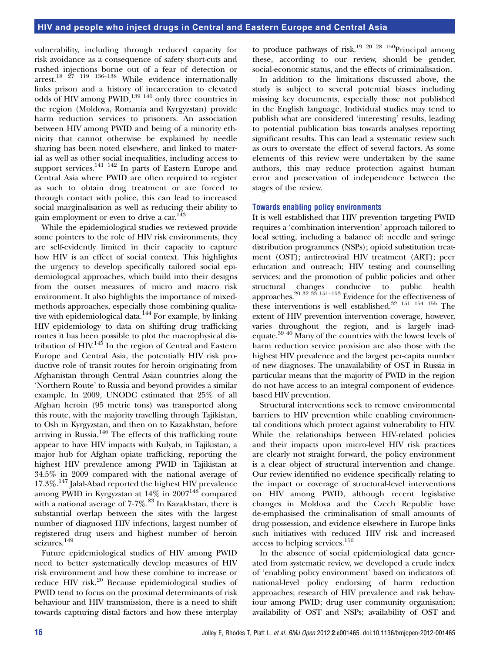vulnerability, including through reduced capacity for risk avoidance as a consequence of safety short-cuts and rushed injections borne out of a fear of detection or arrest.18 27 119 136–<sup>138</sup> While evidence internationally links prison and a history of incarceration to elevated odds of HIV among PWID,<sup>139 140</sup> only three countries in the region (Moldova, Romania and Kyrgyzstan) provide harm reduction services to prisoners. An association between HIV among PWID and being of a minority ethnicity that cannot otherwise be explained by needle sharing has been noted elsewhere, and linked to material as well as other social inequalities, including access to support services.<sup>141 142</sup> In parts of Eastern Europe and Central Asia where PWID are often required to register as such to obtain drug treatment or are forced to through contact with police, this can lead to increased social marginalisation as well as reducing their ability to gain employment or even to drive a car.<sup>143</sup>

While the epidemiological studies we reviewed provide some pointers to the role of HIV risk environments, they are self-evidently limited in their capacity to capture how HIV is an effect of social context. This highlights the urgency to develop specifically tailored social epidemiological approaches, which build into their designs from the outset measures of micro and macro risk environment. It also highlights the importance of mixedmethods approaches, especially those combining qualitative with epidemiological data.<sup>144</sup> For example, by linking HIV epidemiology to data on shifting drug trafficking routes it has been possible to plot the macrophysical distribution of HIV.145 In the region of Central and Eastern Europe and Central Asia, the potentially HIV risk productive role of transit routes for heroin originating from Afghanistan through Central Asian countries along the 'Northern Route' to Russia and beyond provides a similar example. In 2009, UNODC estimated that 25% of all Afghan heroin (95 metric tons) was transported along this route, with the majority travelling through Tajikistan, to Osh in Kyrgyzstan, and then on to Kazakhstan, before arriving in Russia.<sup>146</sup> The effects of this trafficking route appear to have HIV impacts with Kulyab, in Tajikistan, a major hub for Afghan opiate trafficking, reporting the highest HIV prevalence among PWID in Tajikistan at 34.5% in 2009 compared with the national average of 17.3%.<sup>147</sup> Jalal-Abad reported the highest HIV prevalence among PWID in Kyrgyzstan at  $14\%$  in  $2007^{148}$  compared with a national average of  $7.7\%$ .<sup>83</sup> In Kazakhstan, there is substantial overlap between the sites with the largest number of diagnosed HIV infections, largest number of registered drug users and highest number of heroin seizures.<sup>149</sup>

Future epidemiological studies of HIV among PWID need to better systematically develop measures of HIV risk environment and how these combine to increase or reduce HIV risk.<sup>20</sup> Because epidemiological studies of PWID tend to focus on the proximal determinants of risk behaviour and HIV transmission, there is a need to shift towards capturing distal factors and how these interplay to produce pathways of risk.<sup>19 20 28 150</sup>Principal among these, according to our review, should be gender, social-economic status, and the effects of criminalisation.

In addition to the limitations discussed above, the study is subject to several potential biases including missing key documents, especially those not published in the English language. Individual studies may tend to publish what are considered 'interesting' results, leading to potential publication bias towards analyses reporting significant results. This can lead a systematic review such as ours to overstate the effect of several factors. As some elements of this review were undertaken by the same authors, this may reduce protection against human error and preservation of independence between the stages of the review.

#### Towards enabling policy environments

It is well established that HIV prevention targeting PWID requires a 'combination intervention' approach tailored to local setting, including a balance of: needle and syringe distribution programmes (NSPs); opioid substitution treatment (OST); antiretroviral HIV treatment (ART); peer education and outreach; HIV testing and counselling services; and the promotion of public policies and other structural changes conducive to public health approaches.<sup>20 32 33</sup>  $151-153$  Evidence for the effectiveness of these interventions is well established. $32$   $151$   $154$   $155$  The extent of HIV prevention intervention coverage, however, varies throughout the region, and is largely inadequate.39 40 Many of the countries with the lowest levels of harm reduction service provision are also those with the highest HIV prevalence and the largest per-capita number of new diagnoses. The unavailability of OST in Russia in particular means that the majority of PWID in the region do not have access to an integral component of evidencebased HIV prevention.

Structural interventions seek to remove environmental barriers to HIV prevention while enabling environmental conditions which protect against vulnerability to HIV. While the relationships between HIV-related policies and their impacts upon micro-level HIV risk practices are clearly not straight forward, the policy environment is a clear object of structural intervention and change. Our review identified no evidence specifically relating to the impact or coverage of structural-level interventions on HIV among PWID, although recent legislative changes in Moldova and the Czech Republic have de-emphasised the criminalisation of small amounts of drug possession, and evidence elsewhere in Europe links such initiatives with reduced HIV risk and increased access to helping services.156

In the absence of social epidemiological data generated from systematic review, we developed a crude index of 'enabling policy environment' based on indicators of: national-level policy endorsing of harm reduction approaches; research of HIV prevalence and risk behaviour among PWID; drug user community organisation; availability of OST and NSPs; availability of OST and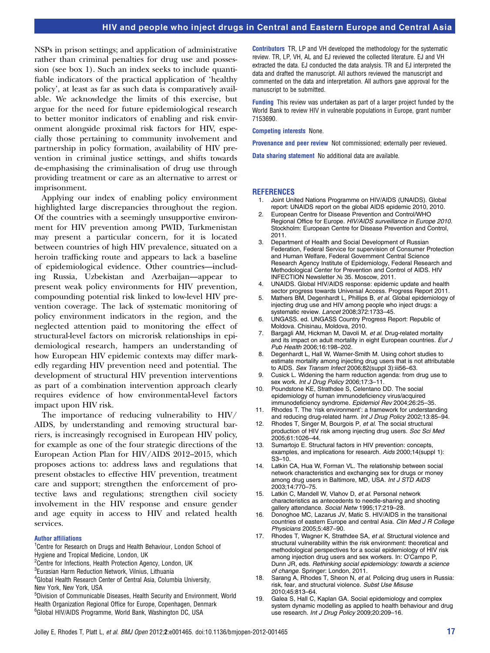NSPs in prison settings; and application of administrative rather than criminal penalties for drug use and possession (see box 1). Such an index seeks to include quantifiable indicators of the practical application of 'healthy policy', at least as far as such data is comparatively available. We acknowledge the limits of this exercise, but argue for the need for future epidemiological research to better monitor indicators of enabling and risk environment alongside proximal risk factors for HIV, especially those pertaining to community involvement and partnership in policy formation, availability of HIV prevention in criminal justice settings, and shifts towards de-emphasising the criminalisation of drug use through providing treatment or care as an alternative to arrest or imprisonment.

Applying our index of enabling policy environment highlighted large discrepancies throughout the region. Of the countries with a seemingly unsupportive environment for HIV prevention among PWID, Turkmenistan may present a particular concern, for it is located between countries of high HIV prevalence, situated on a heroin trafficking route and appears to lack a baseline of epidemiological evidence. Other countries—including Russia, Uzbekistan and Azerbaijan—appear to present weak policy environments for HIV prevention, compounding potential risk linked to low-level HIV prevention coverage. The lack of systematic monitoring of policy environment indicators in the region, and the neglected attention paid to monitoring the effect of structural-level factors on microrisk relationships in epidemiological research, hampers an understanding of how European HIV epidemic contexts may differ markedly regarding HIV prevention need and potential. The development of structural HIV prevention interventions as part of a combination intervention approach clearly requires evidence of how environmental-level factors impact upon HIV risk.

The importance of reducing vulnerability to HIV/ AIDS, by understanding and removing structural barriers, is increasingly recognised in European HIV policy, for example as one of the four strategic directions of the European Action Plan for HIV/AIDS 2012–2015, which proposes actions to: address laws and regulations that present obstacles to effective HIV prevention, treatment care and support; strengthen the enforcement of protective laws and regulations; strengthen civil society involvement in the HIV response and ensure gender and age equity in access to HIV and related health services.

#### Author affiliations

- <sup>1</sup> Centre for Research on Drugs and Health Behaviour, London School of Hygiene and Tropical Medicine, London, UK
- <sup>2</sup>Centre for Infections, Health Protection Agency, London, UK
- 3 Eurasian Harm Reduction Network, Vilnius, Lithuania
- 4 Global Health Research Center of Central Asia, Columbia University, New York, New York, USA
- 5 Division of Communicable Diseases, Health Security and Environment, World Health Organization Regional Office for Europe, Copenhagen, Denmark 6 Global HIV/AIDS Programme, World Bank, Washington DC, USA

Contributors TR, LP and VH developed the methodology for the systematic review. TR, LP, VH, AL and EJ reviewed the collected literature. EJ and VH extracted the data. EJ conducted the data analysis. TR and EJ interpreted the data and drafted the manuscript. All authors reviewed the manuscript and commented on the data and interpretation. All authors gave approval for the manuscript to be submitted.

Funding This review was undertaken as part of a larger project funded by the World Bank to review HIV in vulnerable populations in Europe, grant number 7153690.

Competing interests None.

Provenance and peer review Not commissioned; externally peer reviewed.

Data sharing statement No additional data are available.

#### REFERENCES

- 1. Joint United Nations Programme on HIV/AIDS (UNAIDS). Global report: UNAIDS report on the global AIDS epidemic 2010, 2010.
- 2. European Centre for Disease Prevention and Control/WHO Regional Office for Europe. HIV/AIDS surveillance in Europe 2010. Stockholm: European Centre for Disease Prevention and Control, 2011.
- 3. Department of Health and Social Development of Russian Federation, Federal Service for supervision of Consumer Protection and Human Welfare, Federal Government Central Science Research Agency Institute of Epidemiology, Federal Research and Methodological Center for Prevention and Control of AIDS. HIV INFECTION Newsletter № 35. Moscow, 2011.
- 4. UNAIDS. Global HIV/AIDS response: epidemic update and health sector progress towards Universal Access. Progress Report 2011.
- Mathers BM, Degenhardt L, Phillips B, et al. Global epidemiology of injecting drug use and HIV among people who inject drugs: a systematic review. Lancet 2008;372:1733–45.
- 6. UNGASS. ed. UNGASS Country Progress Report: Republic of Moldova. Chisinau, Moldova, 2010.
- 7. Bargagli AM, Hickman M, Davoli M, et al. Drug-related mortality and its impact on adult mortality in eight European countries. Eur J Pub Health 2006;16:198–202.
- 8. Degenhardt L, Hall W, Warner-Smith M. Using cohort studies to estimate mortality among injecting drug users that is not attributable to AIDS. Sex Transm Infect 2006;82(suppl 3):iii56-63.
- 9. Cusick L. Widening the harm reduction agenda: from drug use to sex work. Int J Drug Policy 2006;17:3–11.
- 10. Poundstone KE, Strathdee S, Celentano DD. The social epidemiology of human immunodeficiency virus/acquired immunodeficiency syndrome. Epidemiol Rev 2004;26:25-35.
- 11. Rhodes T. The 'risk environment': a framework for understanding and reducing drug-related harm. Int J Drug Policy 2002;13:85–94.
- 12. Rhodes T, Singer M, Bourgois P, et al. The social structural production of HIV risk among injecting drug users. Soc Sci Med 2005;61:1026–44.
- 13. Sumartojo E. Structural factors in HIV prevention: concepts, examples, and implications for research. Aids 2000;14(suppl 1): S3–10.
- 14. Latkin CA, Hua W, Forman VL. The relationship between social network characteristics and exchanging sex for drugs or money among drug users in Baltimore, MD, USA. Int J STD AIDS 2003;14:770–75.
- 15. Latkin C, Mandell W, Vlahov D, et al. Personal network characteristics as antecedents to needle-sharing and shooting gallery attendance. Social Netw 1995;17:219–28.
- 16. Donoghoe MC, Lazarus JV, Matic S. HIV/AIDS in the transitional countries of eastern Europe and central Asia. Clin Med J R College Physicians 2005;5:487–90.
- 17. Rhodes T, Wagner K, Strathdee SA, et al. Structural violence and structural vulnerability within the risk environment: theoretical and methodological perspectives for a social epidemiology of HIV risk among injection drug users and sex workers. In: O'Campo P, Dunn JR, eds. Rethinking social epidemiology: towards a science of change. Springer: London, 2011.
- 18. Sarang A, Rhodes T, Sheon N, et al. Policing drug users in Russia: risk, fear, and structural violence. Subst Use Misuse 2010;45:813–64.
- 19. Galea S, Hall C, Kaplan GA. Social epidemiology and complex system dynamic modelling as applied to health behaviour and drug use research. Int J Drug Policy 2009;20:209–16.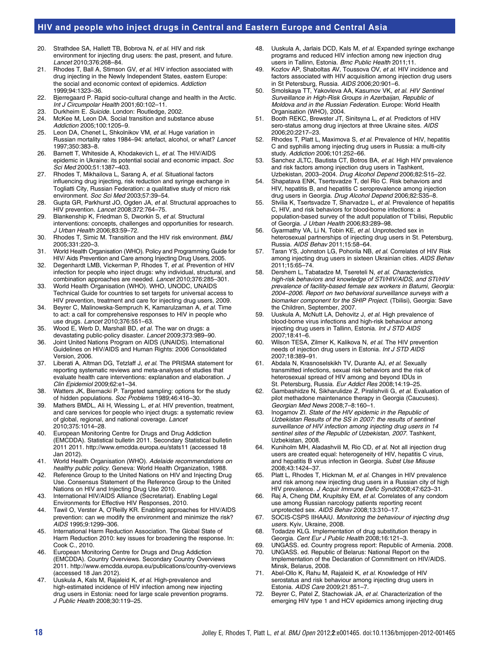- 20. Strathdee SA, Hallett TB, Bobrova N, et al. HIV and risk environment for injecting drug users: the past, present, and future. Lancet 2010;376:268–84.
- 21. Rhodes T, Ball A, Stimson GV, et al. HIV infection associated with drug injecting in the Newly Independent States, eastern Europe: the social and economic context of epidemics. Addiction 1999;94:1323–36.
- 22. Bjerregaard P. Rapid socio-cultural change and health in the Arctic. Int J Circumpolar Health 2001;60:102–11.
- 23. Durkheim E. Suicide. London: Routledge, 2002.
- 24. McKee M, Leon DA. Social transition and substance abuse Addiction 2005;100:1205–9.
- 25. Leon DA, Chenet L, Shkolnikov VM, et al. Huge variation in Russian mortality rates 1984–94: artefact, alcohol, or what? Lancet 1997;350:383–8.
- 26. Barnett T, Whiteside A, Khodakevich L, et al. The HIV/AIDS epidemic in Ukraine: its potential social and economic impact. Soc Sci Med 2000;51:1387–403.
- 27. Rhodes T, Mikhailova L, Sarang A, et al. Situational factors influencing drug injecting, risk reduction and syringe exchange in Togliatti City, Russian Federation: a qualitative study of micro risk environment. Soc Sci Med 2003;57:39–54.
- 28. Gupta GR, Parkhurst JO, Ogden JA, et al. Structural approaches to HIV prevention. Lancet 2008;372:764–75.
- 29. Blankenship K, Friedman S, Dworkin S, et al. Structural interventions: concepts, challenges and opportunities for research. J Urban Health 2006;83:59–72.
- 30. Rhodes T, Simic M. Transition and the HIV risk environment. BMJ 2005;331:220–3.
- 31. World Health Organisation (WHO). Policy and Programming Guide for HIV/ Aids Prevention and Care among Injecting Drug Users, 2005.
- Degenhardt LMB, Vickerman P, Rhodes T, et al. Prevention of HIV infection for people who inject drugs: why individual, structural, and combination approaches are needed. Lancet 2010;376:285–301.
- 33. World Health Organisation (WHO). WHO, UNODC, UNAIDS Technical Guide for countries to set targets for universal access to HIV prevention, treatment and care for injecting drug users, 2009.
- 34. Beyrer C, Malinowska-Sempruch K, Kamarulzaman A, et al. Time to act: a call for comprehensive responses to HIV in people who use drugs. Lancet 2010;376:551–63.
- 35. Wood E, Werb D, Marshall BD, et al. The war on drugs: a devastating public-policy disaster. Lancet 2009;373:989–90.
- 36. Joint United Nations Program on AIDS (UNAIDS). International Guidelines on HIV/AIDS and Human Rights: 2006 Consolidated Version, 2006.
- 37. Liberati A, Altman DG, Tetzlaff J, et al. The PRISMA statement for reporting systematic reviews and meta-analyses of studies that evaluate health care interventions: explanation and elaboration. J Clin Epidemiol 2009;62:e1–34.
- 38. Watters JK, Biernacki P. Targeted sampling: options for the study of hidden populations. Soc Problems 1989;46:416–30.
- 39. Mathers BMDL, Ali H, Wiessing L, et al. HIV prevention, treatment, and care services for people who inject drugs: a systematic review of global, regional, and national coverage. Lancet 2010;375:1014–28.
- 40. European Monitoring Centre for Drugs and Drug Addiction (EMCDDA). Statistical bulletin 2011. Secondary Statistical bulletin 2011 2011.<http://www.emcdda.europa.eu/stats11> (accessed 18 Jan 2012).
- 41. World Health Organisation (WHO). Adelaide recommendations on healthy public policy. Geneva: World Health Organization, 1988.
- 42. Reference Group to the United Nations on HIV and Injecting Drug Use. Consensus Statement of the Reference Group to the United Nations on HIV and Injecting Drug Use 2010.
- 43. International HIV/AIDS Alliance (Secretariat). Enabling Legal Environments for Effective HIV Responses, 2010.
- 44. Tawil O, Verster A, O'Reilly KR. Enabling approaches for HIV/AIDS prevention: can we modify the environment and minimize the risk? AIDS 1995;9:1299–306.
- 45. International Harm Reduction Association. The Global State of Harm Reduction 2010: key issues for broadening the response. In: Cook C., 2010.
- 46. European Monitoring Centre for Drugs and Drug Addiction (EMCDDA). Country Overviews. Secondary Country Overviews 2011.<http://www.emcdda.europa.eu/publications/country-overviews> (accessed 18 Jan 2012).
- 47. Uuskula A, Kals M, Rajaleid K, et al. High-prevalence and high-estimated incidence of HIV infection among new injecting drug users in Estonia: need for large scale prevention programs. J Public Health 2008;30:119–25.
- 48. Uuskula A, Jarlais DCD, Kals M, et al. Expanded syringe exchange programs and reduced HIV infection among new injection drug users in Tallinn, Estonia. Bmc Public Health 2011;11.
- 49. Kozlov AP, Shaboltas AV, Toussova OV, et al. HIV incidence and factors associated with HIV acquisition among injection drug users in St Petersburg, Russia. AIDS 2006;20:901–6.
- 50. Smolskaya TT, Yakovleva AA, Kasumov VK, et al. HIV Sentinel Surveillance in High-Risk Groups in Azerbaijan, Republic of Moldova and in the Russian Federation. Europe: World Health Organisation (WHO), 2004.
- 51. Booth REKC, Brewster JT, Sinitsyna L, et al. Predictors of HIV sero-status among drug injectors at three Ukraine sites. AIDS 2006;20:2217–23.
- 52. Rhodes T, Platt L, Maximova S, et al. Prevalence of HIV, hepatitis C and syphilis among injecting drug users in Russia: a multi-city study. Addiction 2006;101:252–66.
- 53. Sanchez JLTC, Bautista CT, Botros BA, et al. High HIV prevalence and risk factors among injection drug users in Tashkent, Uzbekistan, 2003–2004. Drug Alcohol Depend 2006;82:S15–22.
- 54. Shapatava ENK, Tsertsvadze T, del Rio C. Risk behaviors and HIV, hepatitis B, and hepatitis C seroprevalence among injection drug users in Georgia. Drug Alcohol Depend 2006;82:S35–8.
- 55. Stvilia K, Tsertsvadze T, Sharvadze L, et al. Prevalence of hepatitis C, HIV, and risk behaviors for blood-borne infections: a population-based survey of the adult population of T'bilisi, Republic of Georgia. J Urban Health 2006;83:289–98.
- 56. Gyarmathy VA, Li N, Tobin KE, et al. Unprotected sex in heterosexual partnerships of injecting drug users in St. Petersburg, Russia. AIDS Behav 2011;15:58–64.
- 57. Taran YS, Johnston LG, Pohorila NB, et al. Correlates of HIV Risk among injecting drug users in sixteen Ukrainian cities. AIDS Behav 2011;15:65–74.
- 58. Dershem L, Tabatadze M, Tsereteli N, et al. Characteristics, high-risk behaviors and knowledge of STI/HIV/AIDS, and STI/HIV prevalence of facility-based female sex workers in Batumi, Georgia: 2004–2006. Report on two behavioral surveillance surveys with a biomarker component for the SHIP Project. (Tbilisi), Georgia: Save the Children, September, 2007.
- 59. Uuskula A, McNutt LA, Dehovitz J, et al. High prevalence of blood-borne virus infections and high-risk behaviour among injecting drug users in Tallinn, Estonia. Int J STD AIDS 2007;18:41–6.
- 60. Wilson TESA, Zilmer K, Kalikova N, et al. The HIV prevention needs of injection drug users in Estonia. Int J STD AIDS 2007;18:389–91.
- 61. Abdala N, Krasnoselskikh TV, Durante AJ, et al. Sexually transmitted infections, sexual risk behaviors and the risk of heterosexual spread of HIV among and beyond IDUs in St. Petersburg, Russia. Eur Addict Res 2008;14:19–25.
- 62. Gambashidze N, Sikharulidze Z, Piralishvili G, et al. Evaluation of pilot methadone maintenance therapy in Georgia (Caucuses). Georgian Med News 2008;7–8:160–1.
- 63. Inogamov ZI. State of the HIV epidemic in the Republic of Uzbekistan Results of the SS in 2007: the results of sentinel surveillance of HIV infection among injecting drug users in 14 sentinel sites of the Republic of Uzbekistan, 2007. Tashkent, Uzbekistan, 2008.
- 64. Kuniholm MH, Aladashvili M, Rio CD, et al. Not all injection drug users are created equal: heterogeneity of HIV, hepatitis C virus, and hepatitis B virus infection in Georgia. Subst Use Misuse 2008;43:1424–37.
- 65. Platt L, Rhodes T, Hickman M, et al. Changes in HIV prevalence and risk among new injecting drug users in a Russian city of high HIV prevalence. J Acquir Immune Defic Syndr2008;47:623–31.
- 66. Raj A, Cheng DM, Krupitsky EM, et al. Correlates of any condom use among Russian narcology patients reporting recent unprotected sex. AIDS Behav 2008;13:310–17.
- 67. SOCIS-CSPS IIHAAiU. Monitoring the behaviour of injecting drug users. Kyiv, Ukraine, 2008.
- 68. Todadze KLG. Implementation of drug substitution therapy in Georgia. Cent Eur J Public Health 2008;16:121–3.
- 69. UNGASS. ed. Country progress report: Republic of Armenia. 2008.
- 70. UNGASS. ed. Republic of Belarus: National Report on the Implementation of the Declaration of Committment on HIV/AIDS. Minsk, Belarus, 2008.
- 71. Abel-Ollo K, Rahu M, Rajaleid K, et al. Knowledge of HIV serostatus and risk behaviour among injecting drug users in Estonia. AIDS Care 2009;21:851–7.
- 72. Beyrer C, Patel Z, Stachowiak JA, et al. Characterization of the emerging HIV type 1 and HCV epidemics among injecting drug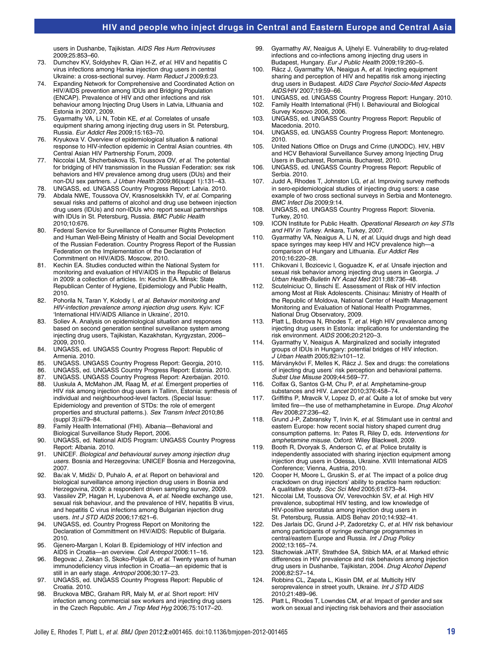users in Dushanbe, Tajikistan. AIDS Res Hum Retroviruses 2009;25:853–60.

- 73. Dumchev KV, Soldyshev R, Qian H-Z, et al. HIV and hepatitis C virus infections among Hanka injection drug users in central Ukraine: a cross-sectional survey. Harm Reduct J 2009;6:23.
- 74. Expanding Network for Comprehensive and Coordinated Action on HIV/AIDS prevention among IDUs and Bridging Population (ENCAP). Prevalence of HIV and other infections and risk behaviour among Injecting Drug Users in Latvia, Lithuania and Estonia in 2007, 2009.
- 75. Gyarmathy VA, Li N, Tobin KE, et al. Correlates of unsafe equipment sharing among injecting drug users in St. Petersburg, Russia. Eur Addict Res 2009;15:163–70.
- 76. Kryukova V. Overview of epidemiological situation & national response to HIV-infection epidemic in Central Asian countries. 4th Central Asian HIV Partnership Forum, 2009.
- Niccolai LM, Shcherbakova IS, Toussova OV, et al. The potential for bridging of HIV transmission in the Russian Federation: sex risk behaviors and HIV prevalence among drug users (DUs) and their non-DU sex partners. J Urban Health 2009;86(suppl 1):131–43.
- 78. UNGASS, ed. UNGASS Country Progress Report: Latvia. 2010.
- 79. Abdala NWE, Toussova OV, Krasnoselskikh TV, et al. Comparing sexual risks and patterns of alcohol and drug use between injection drug users (IDUs) and non-IDUs who report sexual partnerships with IDUs in St. Petersburg, Russia. BMC Public Health 2010;10:676.
- 80. Federal Service for Surveillance of Consumer Rights Protection and Human Well-Being Ministry of Health and Social Development of the Russian Federation. Country Progress Report of the Russian Federation on the Implementation of the Declaration of Commitment on HIV/AIDS. Moscow, 2010.
- Kechin EA. Studies conducted within the National System for monitoring and evaluation of HIV/AIDS in the Republic of Belarus in 2009: a collection of articles. In: Kechin EA. Minsk: State Republican Center of Hygiene, Epidemiology and Public Health, 2010.
- 82. Pohorila N, Taran Y, Kolodiy I, et al. Behavior monitoring and HIV-infection prevalence among injection drug users. Kyiv: ICF 'International HIV/AIDS Alliance in Ukraine', 2010.
- 83. Soliev A. Analysis on epidemiological situation and responses based on second generation sentinel surveillance system among injecting drug users, Tajikistan, Kazakhstan, Kyrgyzstan, 2006– 2009, 2010.
- 84. UNGASS, ed. UNGASS Country Progress Report: Republic of Armenia. 2010.
- 85. UNGASS. UNGASS Country Progress Report: Georgia, 2010.
- 86. UNGASS, ed. UNGASS Country Progress Report: Estonia. 2010.
- 87. UNGASS. UNGASS Country Progress Report: Azerbaijan. 2010.
- 88. Uuskula A, McMahon JM, Raag M, et al. Emergent properties of HIV risk among injection drug users in Tallinn, Estonia: synthesis of individual and neighbourhood-level factors. (Special Issue: Epidemiology and prevention of STDs: the role of emergent properties and structural patterns.). Sex Transm Infect 2010;86 (suppl 3):iii79–84.
- 89. Family Health International (FHI). Albania—Behavioral and Biological Surveillance Study Report, 2006.
- 90. UNGASS, ed. National AIDS Program: UNGASS Country Progress Report: Albania. 2010.
- 91. UNICEF. Biological and behavioural survey among injection drug users. Bosnia and Herzegovina: UNICEF Bosnia and Herzegovina, 2007.
- 92. Baćak V, Midžić D, Puhalo A, et al. Report on behavioral and biological surveillance among injection drug users in Bosnia and Herzegovina, 2009: a respondent driven sampling survey, 2009.
- 93. Vassilev ZP, Hagan H, Lyubenova A, et al. Needle exchange use, sexual risk behaviour, and the prevalence of HIV, hepatitis B virus, and hepatitis C virus infections among Bulgarian injection drug users. Int J STD AIDS 2006;17:621–6.
- 94. UNGASS, ed. Country Progress Report on Monitoring the Declaration of Committment on HIV/AIDS: Republic of Bulgaria. 2010.
- 95. Gjenero-Margan I, Kolari B. Epidemiology of HIV infection and AIDS in Croatia—an overview. Coll Antropol 2006:11–16.
- 96. Begovac J, Zekan S, Skoko-Poljak D, et al. Twenty years of human immunodeficiency virus infection in Croatia—an epidemic that is still in an early stage. Antropol 2006;30:17–23.
- 97. UNGASS, ed. UNGASS Country Progress Report: Republic of Croatia. 2010.
- 98. Bruckova MBC, Graham RR, Maly M, et al. Short report: HIV infection among commercial sex workers and injecting drug users in the Czech Republic. Am J Trop Med Hyg 2006;75:1017–20.
- 99. Gyarmathy AV, Neaigus A, Ujhelyi E. Vulnerability to drug-related infections and co-infections among injecting drug users in Budapest, Hungary. Eur J Public Health 2009;19:260–5.
- 100. Rácz J, Gyarmathy VA, Neaigus A, et al. Injecting equipment sharing and perception of HIV and hepatitis risk among injecting drug users in Budapest. AIDS Care Psychol Socio-Med Aspects AIDS/HIV 2007;19:59–66.
- 101. UNGASS, ed. UNGASS Country Progress Report: Hungary. 2010.
- Family Health International (FHI) I. Behavioural and Biological Survey Kosovo 2006, 2006.
- 103. UNGASS, ed. UNGASS Country Progress Report: Republic of Macedonia. 2010.
- 104. UNGASS, ed. UNGASS Country Progress Report: Montenegro. 2010.
- 105. United Nations Office on Drugs and Crime (UNODC). HIV, HBV and HCV Behavioral Surveillance Survey among Injecting Drug Users in Bucharest, Romania. Bucharest, 2010.
- 106. UNGASS, ed. UNGASS Country Progress Report: Republic of Serbia. 2010.
- 107. Judd A, Rhodes T, Johnston LG, et al. Improving survey methods in sero-epidemiological studies of injecting drug users: a case example of two cross sectional surveys in Serbia and Montenegro. BMC Infect Dis 2009;9:14.
- 108. UNGASS, ed. UNGASS Country Progress Report: Slovenia. Turkey, 2010.
- 109. ICON Institute for Public Health. Operational Research on key STIs and HIV in Turkey. Ankara, Turkey, 2007.
- 110. Gyarmathy VA, Neaigus A, Li N, et al. Liquid drugs and high dead space syringes may keep HIV and HCV prevalence high-a comparison of Hungary and Lithuania. Eur Addict Res 2010;16:220–28.
- 111. Chikovani I, Bozicevic I, Goguadze K, et al. Unsafe injection and sexual risk behavior among injecting drug users in Georgia. J Urban Health-Bulletin NY Acad Med 2011;88:736–48.
- 112. Scutelniciuc O, Ilinschi E. Assessment of Risk of HIV infection among Most at Risk Adolescents. Chisinau: Ministry of Health of the Republic of Moldova, National Center of Health Management Monitoring and Evaluation of National Health Programmes, National Drug Observatory, 2009.
- 113. Platt L, Bobrova N, Rhodes T, et al. High HIV prevalence among injecting drug users in Estonia: implications for understanding the risk environment. AIDS 2006;20:2120–3.
- 114. Gyarmathy V, Neaigus A. Marginalized and socially integrated groups of IDUs in Hungary: potential bridges of HIV infection. J Urban Health 2005;82:iv101–12.
- 115. Márványkövi F, Melles K, Rácz J. Sex and drugs: the correlations of injecting drug users' risk perception and behavioral patterns. Subst Use Misuse 2009;44:569–77.
- 116. Colfax G, Santos G-M, Chu P, et al. Amphetamine-group substances and HIV. Lancet 2010;376:458–74.
- 117. Griffiths P, Mravcik V, Lopez D, et al. Quite a lot of smoke but very limited fire—the use of methamphetamine in Europe. Drug Alcohol Rev 2008;27:236–42.
- 118. Grund J-P, Zabransky T, Irvin K, et al. Stimulant use in central and eastern Europe: how recent social history shaped current drug consumption patterns. In: Pates R, Riley D, eds. Interventions for amphetamine misuse. Oxford: Wiley Blackwell, 2009.
- 119. Booth R, Dvoryak S, Anderson C, et al. Police brutality is independently associated with sharing injection equipment among injection drug users in Odessa, Ukraine. XVIII International AIDS Conference; Vienna, Austria, 2010.
- 120. Cooper H, Moore L, Gruskin S, et al. The impact of a police drug crackdown on drug injectors' ability to practice harm reduction: A qualitative study. Soc Sci Med 2005;61:673–84.
- 121. Niccolai LM, Toussova OV, Verevochkin SV, et al. High HIV prevalence, suboptimal HIV testing, and low knowledge of HIV-positive serostatus among injection drug users in St. Petersburg, Russia. AIDS Behav 2010;14:932–41.
- 122. Des Jarlais DC, Grund J-P, Zadoretzky C, et al. HIV risk behaviour among participants of syringe exchange programmes in central/eastern Europe and Russia. Int J Drug Policy 2002;13:165–74.
- 123. Stachowiak JATF, Strathdee SA, Stibich MA, et al. Marked ethnic differences in HIV prevalence and risk behaviors among injection drug users in Dushanbe, Tajikistan, 2004. Drug Alcohol Depend 2006;82:S7–14.
- 124. Robbins CL, Zapata L, Kissin DM, et al. Multicity HIV seroprevalence in street youth, Ukraine. Int J STD AIDS 2010;21:489–96.
- 125. Platt L, Rhodes T, Lowndes CM, et al. Impact of gender and sex work on sexual and injecting risk behaviors and their association